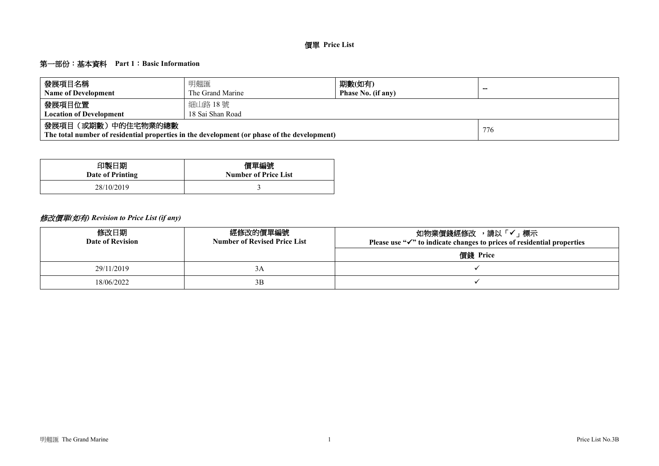### 第一部份:基本資料 **Part 1**:**Basic Information**

| 發展項目名稱                         | 明翹匯                                                                                         | 期數(如有)             | --  |  |  |  |  |  |  |  |  |
|--------------------------------|---------------------------------------------------------------------------------------------|--------------------|-----|--|--|--|--|--|--|--|--|
| <b>Name of Development</b>     | The Grand Marine                                                                            | Phase No. (if any) |     |  |  |  |  |  |  |  |  |
| 發展項目位置                         | 細山路 18 號                                                                                    |                    |     |  |  |  |  |  |  |  |  |
| <b>Location of Development</b> | 18 Sai Shan Road                                                                            |                    |     |  |  |  |  |  |  |  |  |
| 發展項目(或期數)中的住宅物業的總數             | The total number of residential properties in the development (or phase of the development) |                    | 776 |  |  |  |  |  |  |  |  |

| 印製日期             | 價單編號                        |
|------------------|-----------------------------|
| Date of Printing | <b>Number of Price List</b> |
| 28/10/2019       |                             |

# 修改價單*(*如有*) Revision to Price List (if any)*

| 修改日期<br>Date of Revision | 經修改的價單編號<br><b>Number of Revised Price List</b> | 如物業價錢經修改 ,請以「✔」標示<br>Please use " $\checkmark$ " to indicate changes to prices of residential properties |
|--------------------------|-------------------------------------------------|----------------------------------------------------------------------------------------------------------|
|                          |                                                 | 價錢 Price                                                                                                 |
| 29/11/2019               | 3A                                              |                                                                                                          |
| 18/06/2022               | 3B                                              |                                                                                                          |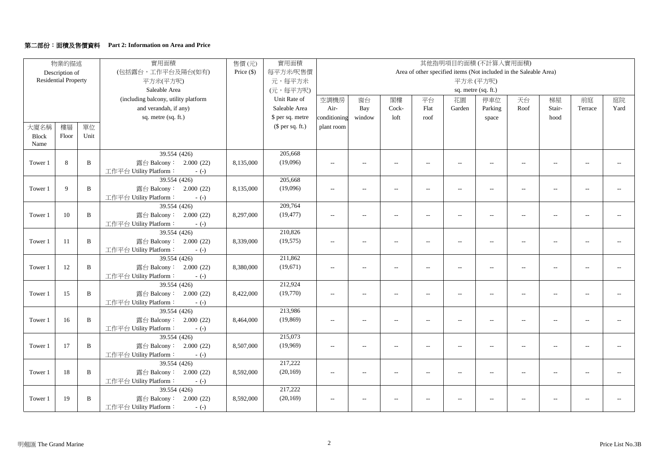### 第二部份:面積及售價資料 **Part 2: Information on Area and Price**

|              | 物業的描述                       |              | 實用面積                                 | 實用面積       |                  |                          |                          |                          | 其他指明項目的面積(不計算入實用面積)      |                          |                     |                                                                   |                          |                          |                          |
|--------------|-----------------------------|--------------|--------------------------------------|------------|------------------|--------------------------|--------------------------|--------------------------|--------------------------|--------------------------|---------------------|-------------------------------------------------------------------|--------------------------|--------------------------|--------------------------|
|              | Description of              |              | (包括露台,工作平台及陽台(如有)                    | Price (\$) | 每平方米/呎售價         |                          |                          |                          |                          |                          |                     | Area of other specified items (Not included in the Saleable Area) |                          |                          |                          |
|              | <b>Residential Property</b> |              | 平方米(平方呎)                             |            | 元,每平方米           |                          |                          |                          |                          |                          | 平方米(平方呎)            |                                                                   |                          |                          |                          |
|              |                             |              | Saleable Area                        |            | (元,每平方呎)         |                          |                          |                          |                          |                          | sq. metre (sq. ft.) |                                                                   |                          |                          |                          |
|              |                             |              | (including balcony, utility platform |            | Unit Rate of     | 空調機房                     | 窗台                       | 閣樓                       | 平台                       | 花園                       | 停車位                 | 天台                                                                | 梯屋                       | 前庭                       | 庭院                       |
|              |                             |              | and verandah, if any)                |            | Saleable Area    | Air-                     | Bay                      | Cock-                    | Flat                     | Garden                   | Parking             | Roof                                                              | Stair-                   | Terrace                  | Yard                     |
|              |                             |              | sq. metre (sq. ft.)                  |            | \$ per sq. metre | conditioning             | window                   | loft                     | roof                     |                          | space               |                                                                   | hood                     |                          |                          |
| 大廈名稱         | 樓層                          | 單位           |                                      |            | $$$ per sq. ft.) | plant room               |                          |                          |                          |                          |                     |                                                                   |                          |                          |                          |
| <b>Block</b> | Floor                       | Unit         |                                      |            |                  |                          |                          |                          |                          |                          |                     |                                                                   |                          |                          |                          |
| Name         |                             |              |                                      |            |                  |                          |                          |                          |                          |                          |                     |                                                                   |                          |                          |                          |
|              |                             |              | 39.554 (426)                         |            | 205,668          |                          |                          |                          |                          |                          |                     |                                                                   |                          |                          |                          |
| Tower 1      | 8                           | $\mathbf{B}$ | 露台 Balcony: 2.000 (22)               | 8,135,000  | (19,096)         | $\overline{\phantom{a}}$ | $\overline{\phantom{a}}$ | $\sim$                   | $\overline{\phantom{a}}$ | $\overline{a}$           | $\overline{a}$      | $\sim$                                                            | $\overline{a}$           | $\sim$ $\sim$            | $\overline{a}$           |
|              |                             |              | 工作平台 Utility Platform:<br>$-(-)$     |            |                  |                          |                          |                          |                          |                          |                     |                                                                   |                          |                          |                          |
|              |                             |              | 39.554 (426)                         |            | 205,668          |                          |                          |                          |                          |                          |                     |                                                                   |                          |                          |                          |
| Tower 1      | 9                           | B            | 露台 Balcony: 2.000 (22)               | 8,135,000  | (19,096)         | $\overline{\phantom{a}}$ | $\overline{\phantom{a}}$ | $\overline{\phantom{a}}$ | $\overline{\phantom{a}}$ | $\overline{a}$           | $\overline{a}$      | $\sim$                                                            | $\overline{\phantom{a}}$ | $\sim$                   | $\overline{a}$           |
|              |                             |              | 工作平台 Utility Platform:<br>$-(-)$     |            |                  |                          |                          |                          |                          |                          |                     |                                                                   |                          |                          |                          |
|              |                             |              | 39.554 (426)                         |            | 209,764          |                          |                          |                          |                          |                          |                     |                                                                   |                          |                          |                          |
| Tower 1      | 10                          | $\, {\bf B}$ | 露台 Balcony: 2.000 (22)               | 8,297,000  | (19, 477)        | $-$                      | $\overline{\phantom{a}}$ | $\overline{a}$           | $\overline{\phantom{a}}$ | $\overline{a}$           | $\overline{a}$      | $\overline{a}$                                                    | $\overline{\phantom{a}}$ | $\overline{a}$           | $\sim$                   |
|              |                             |              | 工作平台 Utility Platform:<br>$-(-)$     |            |                  |                          |                          |                          |                          |                          |                     |                                                                   |                          |                          |                          |
|              |                             |              | 39.554 (426)                         |            | 210,826          |                          |                          |                          |                          |                          |                     |                                                                   |                          |                          |                          |
| Tower 1      | 11                          | $\mathbf{B}$ | 露台 Balcony: 2.000 (22)               | 8,339,000  | (19, 575)        | $\overline{\phantom{a}}$ | $\overline{\phantom{a}}$ | $\overline{\phantom{a}}$ | $\overline{\phantom{a}}$ | $\overline{\phantom{a}}$ | $- -$               | $\overline{\phantom{a}}$                                          | $\overline{a}$           | $\overline{a}$           |                          |
|              |                             |              | 工作平台 Utility Platform:<br>$-(-)$     |            |                  |                          |                          |                          |                          |                          |                     |                                                                   |                          |                          |                          |
|              |                             |              | 39.554 (426)                         |            | 211,862          |                          |                          |                          |                          |                          |                     |                                                                   |                          |                          |                          |
| Tower 1      | 12                          | B            | 露台 Balcony: 2.000 (22)               | 8,380,000  | (19,671)         | $\overline{\phantom{a}}$ | $\overline{\phantom{a}}$ | $\overline{\phantom{a}}$ | $\overline{\phantom{a}}$ | $\overline{\phantom{a}}$ | $- -$               | $\overline{\phantom{a}}$                                          | $\qquad \qquad -$        | $\overline{\phantom{a}}$ | $\overline{\phantom{a}}$ |
|              |                             |              | 工作平台 Utility Platform:<br>$-(-)$     |            |                  |                          |                          |                          |                          |                          |                     |                                                                   |                          |                          |                          |
|              |                             |              | 39.554 (426)                         |            | 212,924          |                          |                          |                          |                          |                          |                     |                                                                   |                          |                          |                          |
| Tower 1      | 15                          | $\mathbf{B}$ | 露台 Balcony: 2.000 (22)               | 8,422,000  | (19,770)         | $\overline{a}$           | $\overline{\phantom{a}}$ | $\overline{a}$           | $\overline{a}$           | $\overline{a}$           | $\overline{a}$      | $\overline{a}$                                                    | Ξ.                       | $\sim$                   | $\overline{a}$           |
|              |                             |              | 工作平台 Utility Platform:<br>$-(-)$     |            |                  |                          |                          |                          |                          |                          |                     |                                                                   |                          |                          |                          |
|              |                             |              | 39.554 (426)                         |            | 213,986          |                          |                          |                          |                          |                          |                     |                                                                   |                          |                          |                          |
| Tower 1      | 16                          | $\mathbf{B}$ | 露台 Balcony: 2.000 (22)               | 8,464,000  | (19, 869)        | $\overline{\phantom{a}}$ | $\overline{\phantom{a}}$ | $\overline{a}$           | $\overline{a}$           | $\overline{a}$           | $\overline{a}$      | $\overline{\phantom{a}}$                                          | $\overline{\phantom{a}}$ | $\overline{\phantom{a}}$ | $\overline{\phantom{a}}$ |
|              |                             |              | 工作平台 Utility Platform:<br>$-(-)$     |            |                  |                          |                          |                          |                          |                          |                     |                                                                   |                          |                          |                          |
|              |                             |              | 39.554 (426)                         |            | 215,073          |                          |                          |                          |                          |                          |                     |                                                                   |                          |                          |                          |
| Tower 1      | 17                          | B            | 露台 Balcony: 2.000 (22)               | 8,507,000  | (19,969)         | $\overline{\phantom{a}}$ | $\overline{\phantom{a}}$ | $\sim$                   | $\overline{\phantom{a}}$ | $\overline{a}$           | $-$                 | $\sim$                                                            | $\overline{\phantom{a}}$ | $\sim$                   |                          |
|              |                             |              | 工作平台 Utility Platform:<br>$-(-)$     |            |                  |                          |                          |                          |                          |                          |                     |                                                                   |                          |                          |                          |
|              |                             |              | 39.554 (426)                         |            | 217,222          |                          |                          |                          |                          |                          |                     |                                                                   |                          |                          |                          |
| Tower 1      | 18                          | B            | 露台 Balcony: 2.000 (22)               | 8,592,000  | (20, 169)        | $\overline{\phantom{a}}$ | $\overline{\phantom{a}}$ | $\sim$                   | $\overline{\phantom{a}}$ | $\sim$                   | $-$                 | $\overline{a}$                                                    | $\overline{a}$           | $\sim$ $\sim$            | $\overline{\phantom{a}}$ |
|              |                             |              | 工作平台 Utility Platform:<br>$-(-)$     |            |                  |                          |                          |                          |                          |                          |                     |                                                                   |                          |                          |                          |
|              |                             |              | 39.554 (426)                         |            | 217,222          |                          |                          |                          |                          |                          |                     |                                                                   |                          |                          |                          |
| Tower 1      | 19                          | B            | 露台 Balcony: 2.000 (22)               | 8,592,000  | (20, 169)        | $\overline{\phantom{a}}$ |                          | $\overline{\phantom{a}}$ |                          |                          | $-$                 |                                                                   |                          | $\overline{a}$           |                          |
|              |                             |              | 工作平台 Utility Platform:<br>$-(-)$     |            |                  |                          |                          |                          |                          |                          |                     |                                                                   |                          |                          |                          |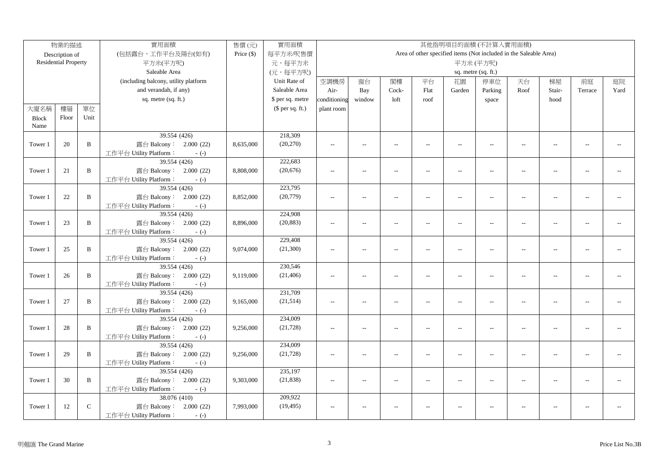|              | 物業的描述                       |              | 實用面積                                             | 售價(元)        | 實用面積             |                |                          |                          |                          | 其他指明項目的面積(不計算入實用面積)                                               |                          |                          |                |                |      |
|--------------|-----------------------------|--------------|--------------------------------------------------|--------------|------------------|----------------|--------------------------|--------------------------|--------------------------|-------------------------------------------------------------------|--------------------------|--------------------------|----------------|----------------|------|
|              | Description of              |              | (包括露台,工作平台及陽台(如有)                                | Price $(\$)$ | 每平方米/呎售價         |                |                          |                          |                          | Area of other specified items (Not included in the Saleable Area) |                          |                          |                |                |      |
|              | <b>Residential Property</b> |              | 平方米(平方呎)                                         |              | 元,每平方米           |                |                          |                          |                          |                                                                   | 平方米(平方呎)                 |                          |                |                |      |
|              |                             |              | Saleable Area                                    |              | (元,每平方呎)         |                |                          |                          |                          |                                                                   | sq. metre (sq. ft.)      |                          |                |                |      |
|              |                             |              | (including balcony, utility platform             |              | Unit Rate of     | 空調機房           | 窗台                       | 閣樓                       | 平台                       | 花園                                                                | 停車位                      | 天台                       | 梯屋             | 前庭             | 庭院   |
|              |                             |              | and verandah, if any)                            |              | Saleable Area    | Air-           | Bay                      | Cock-                    | Flat                     | Garden                                                            | Parking                  | Roof                     | Stair-         | Terrace        | Yard |
|              |                             |              | sq. metre (sq. ft.)                              |              | \$ per sq. metre | conditioning   | window                   | loft                     | roof                     |                                                                   | space                    |                          | hood           |                |      |
| 大廈名稱         | 樓層                          | 單位           |                                                  |              | $$$ per sq. ft.) | plant room     |                          |                          |                          |                                                                   |                          |                          |                |                |      |
| <b>Block</b> | Floor                       | Unit         |                                                  |              |                  |                |                          |                          |                          |                                                                   |                          |                          |                |                |      |
| Name         |                             |              |                                                  |              |                  |                |                          |                          |                          |                                                                   |                          |                          |                |                |      |
|              |                             |              | 39.554 (426)                                     |              | 218,309          |                |                          |                          |                          |                                                                   |                          |                          |                |                |      |
| Tower 1      | 20                          | $\, {\bf B}$ | 露台 Balcony: 2.000 (22)                           | 8,635,000    | (20, 270)        | $\sim$ $\sim$  | $\sim$                   | $\overline{\phantom{a}}$ | $\overline{a}$           | $\sim$                                                            | $\overline{a}$           | $\sim$                   | $\sim$         | $\sim$         |      |
|              |                             |              | 工作平台 Utility Platform:<br>$-(-)$                 |              |                  |                |                          |                          |                          |                                                                   |                          |                          |                |                |      |
|              |                             |              | 39.554 (426)                                     |              | 222,683          |                |                          |                          |                          |                                                                   |                          |                          |                |                |      |
| Tower 1      | 21                          | $\, {\bf B}$ | 露台 Balcony: 2.000 (22)                           | 8,808,000    | (20,676)         | $\sim$         | $\overline{\phantom{a}}$ | $\sim$                   | $\overline{a}$           | $\overline{\phantom{a}}$                                          | $\overline{\phantom{m}}$ | $\overline{\phantom{a}}$ | $\sim$         | $-$            |      |
|              |                             |              | 工作平台 Utility Platform:<br>$-(-)$                 |              |                  |                |                          |                          |                          |                                                                   |                          |                          |                |                |      |
|              |                             |              | 39.554 (426)                                     |              | 223,795          |                |                          |                          |                          |                                                                   |                          |                          |                |                |      |
| Tower 1      | 22                          | $\, {\bf B}$ | 露台 Balcony: 2.000 (22)                           | 8,852,000    | (20, 779)        | $\sim$ $\sim$  | $\overline{a}$           | $\sim$                   | $\overline{a}$           | $\overline{a}$                                                    | $\overline{a}$           | $\overline{\phantom{a}}$ | $\overline{a}$ | $\overline{a}$ |      |
|              |                             |              | 工作平台 Utility Platform:<br>$-(-)$                 |              |                  |                |                          |                          |                          |                                                                   |                          |                          |                |                |      |
|              |                             |              | 39.554 (426)                                     |              | 224,908          |                |                          |                          |                          |                                                                   |                          |                          |                |                |      |
| Tower 1      | 23                          | B            | 露台 Balcony: 2.000 (22)                           | 8,896,000    | (20, 883)        | $\overline{a}$ | $\overline{a}$           | $\sim$                   | $\overline{a}$           | $\overline{\phantom{a}}$                                          | $\overline{a}$           | $\overline{a}$           | $\overline{a}$ | $\overline{a}$ |      |
|              |                             |              | 工作平台 Utility Platform:<br>$-(-)$                 |              |                  |                |                          |                          |                          |                                                                   |                          |                          |                |                |      |
|              |                             |              | 39.554 (426)                                     |              | 229,408          |                |                          |                          |                          |                                                                   |                          |                          |                |                |      |
| Tower 1      | 25                          | B            | 露台 Balcony: 2.000 (22)                           | 9,074,000    | (21, 300)        | $\overline{a}$ | $\overline{a}$           | $\overline{\phantom{a}}$ | $\overline{a}$           | $\overline{\phantom{a}}$                                          | $\overline{\phantom{m}}$ | $\overline{a}$           | $\sim$         | $\mathbf{u}$   |      |
|              |                             |              | 工作平台 Utility Platform:<br>$-(-)$                 |              |                  |                |                          |                          |                          |                                                                   |                          |                          |                |                |      |
|              |                             |              | 39.554 (426)                                     |              | 230,546          |                |                          |                          |                          |                                                                   |                          |                          |                |                |      |
| Tower 1      | 26                          | B            | 露台 Balcony: 2.000 (22)                           | 9,119,000    | (21, 406)        | $\overline{a}$ | $\overline{a}$           | $\overline{\phantom{a}}$ | $\overline{\phantom{a}}$ | $\overline{a}$                                                    | $\overline{a}$           | $\overline{\phantom{a}}$ | $\overline{a}$ | $\overline{a}$ |      |
|              |                             |              | 工作平台 Utility Platform:<br>$-(-)$                 |              |                  |                |                          |                          |                          |                                                                   |                          |                          |                |                |      |
|              |                             |              | 39.554 (426)                                     |              | 231,709          |                |                          |                          |                          |                                                                   |                          |                          |                |                |      |
| Tower 1      | 27                          | B            | 露台 Balcony: 2.000 (22)                           | 9,165,000    | (21, 514)        | $\overline{a}$ | $\overline{a}$           | $\overline{a}$           | $\overline{a}$           | $\overline{\phantom{a}}$                                          | $\overline{a}$           | $\overline{a}$           | $\sim$         | $\overline{a}$ |      |
|              |                             |              | 工作平台 Utility Platform:<br>$-(-)$<br>39.554 (426) |              | 234,009          |                |                          |                          |                          |                                                                   |                          |                          |                |                |      |
|              | 28                          | B            | 露台 Balcony: 2.000 (22)                           |              | (21, 728)        |                | $\overline{a}$           | $\sim$                   | $\overline{a}$           |                                                                   | $\overline{a}$           | $\sim$                   | $\sim$         | $\sim$ $\sim$  |      |
| Tower 1      |                             |              | 工作平台 Utility Platform:                           | 9,256,000    |                  | $\overline{a}$ |                          |                          |                          | $\overline{\phantom{a}}$                                          |                          |                          |                |                |      |
|              |                             |              | $-(-)$<br>39.554 (426)                           |              | 234,009          |                |                          |                          |                          |                                                                   |                          |                          |                |                |      |
| Tower 1      | 29                          | B            | 露台 Balcony: 2.000 (22)                           | 9,256,000    | (21, 728)        | $\sim$         | $\overline{a}$           | $\overline{\phantom{a}}$ | $\overline{a}$           | $\overline{\phantom{a}}$                                          | $\overline{a}$           | $\overline{a}$           | $\overline{a}$ | $\overline{a}$ |      |
|              |                             |              | 工作平台 Utility Platform:<br>$-(-)$                 |              |                  |                |                          |                          |                          |                                                                   |                          |                          |                |                |      |
|              |                             |              | 39.554 (426)                                     |              | 235,197          |                |                          |                          |                          |                                                                   |                          |                          |                |                |      |
| Tower 1      | 30                          | $\mathbf{B}$ | 露台 Balcony: 2.000 (22)                           | 9,303,000    | (21, 838)        | $\sim$ $\sim$  | $\overline{a}$           | $\sim$                   | $\overline{a}$           | $\overline{a}$                                                    | $\overline{a}$           | $\overline{a}$           | $\overline{a}$ | $\overline{a}$ |      |
|              |                             |              | 工作平台 Utility Platform:<br>$-(-)$                 |              |                  |                |                          |                          |                          |                                                                   |                          |                          |                |                |      |
|              |                             |              | 38.076 (410)                                     |              | 209,922          |                |                          |                          |                          |                                                                   |                          |                          |                |                |      |
| Tower 1      | 12                          | $\mathsf C$  | 露台 Balcony: 2.000 (22)                           | 7,993,000    | (19, 495)        | $\overline{a}$ | $\overline{a}$           | $\sim$                   | $\overline{a}$           | $\overline{\phantom{a}}$                                          | $\overline{a}$           | $\overline{a}$           | $\overline{a}$ | $\overline{a}$ |      |
|              |                             |              | 工作平台 Utility Platform:<br>$-(-)$                 |              |                  |                |                          |                          |                          |                                                                   |                          |                          |                |                |      |
|              |                             |              |                                                  |              |                  |                |                          |                          |                          |                                                                   |                          |                          |                |                |      |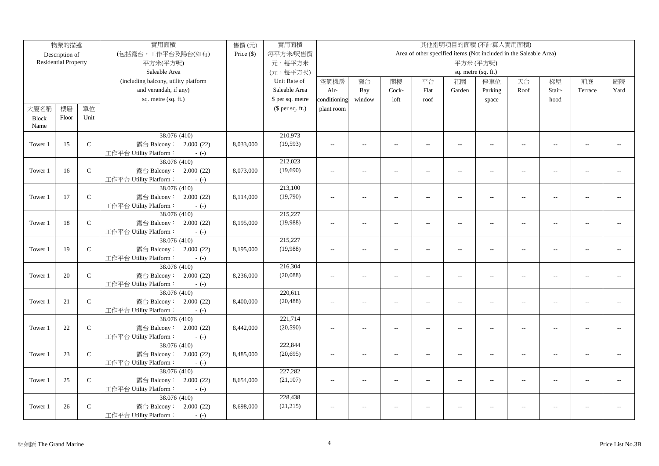|              | 物業的描述                       |               | 實用面積                                             | 售價(元)        | 實用面積             |                |                          |                          |                          |                          | 其他指明項目的面積(不計算入實用面積)      |                                                                   |                          |                |      |
|--------------|-----------------------------|---------------|--------------------------------------------------|--------------|------------------|----------------|--------------------------|--------------------------|--------------------------|--------------------------|--------------------------|-------------------------------------------------------------------|--------------------------|----------------|------|
|              | Description of              |               | (包括露台,工作平台及陽台(如有)                                | Price $(\$)$ | 每平方米/呎售價         |                |                          |                          |                          |                          |                          | Area of other specified items (Not included in the Saleable Area) |                          |                |      |
|              | <b>Residential Property</b> |               | 平方米(平方呎)                                         |              | 元,每平方米           |                |                          |                          |                          |                          | 平方米(平方呎)                 |                                                                   |                          |                |      |
|              |                             |               | Saleable Area                                    |              | (元,每平方呎)         |                |                          |                          |                          |                          | sq. metre (sq. ft.)      |                                                                   |                          |                |      |
|              |                             |               | (including balcony, utility platform             |              | Unit Rate of     | 空調機房           | 窗台                       | 閣樓                       | 平台                       | 花園                       | 停車位                      | 天台                                                                | 梯屋                       | 前庭             | 庭院   |
|              |                             |               | and verandah, if any)                            |              | Saleable Area    | Air-           | Bay                      | Cock-                    | Flat                     | Garden                   | Parking                  | Roof                                                              | Stair-                   | Terrace        | Yard |
|              |                             |               | sq. metre (sq. ft.)                              |              | \$ per sq. metre | conditioning   | window                   | loft                     | roof                     |                          | space                    |                                                                   | hood                     |                |      |
| 大廈名稱         | 樓層                          | 單位            |                                                  |              | (\$ per sq. ft.) | plant room     |                          |                          |                          |                          |                          |                                                                   |                          |                |      |
| <b>Block</b> | Floor                       | Unit          |                                                  |              |                  |                |                          |                          |                          |                          |                          |                                                                   |                          |                |      |
| Name         |                             |               |                                                  |              |                  |                |                          |                          |                          |                          |                          |                                                                   |                          |                |      |
|              |                             |               | 38.076 (410)                                     |              | 210,973          |                |                          |                          |                          |                          |                          |                                                                   |                          |                |      |
| Tower 1      | 15                          | ${\bf C}$     | 露台 Balcony: 2.000 (22)                           | 8,033,000    | (19, 593)        | $\sim$ $\sim$  | $\overline{a}$           | $\overline{\phantom{a}}$ | $\sim$                   | $\sim$                   | $\sim$                   | $\sim$                                                            | $\sim$                   | $\overline{a}$ |      |
|              |                             |               | 工作平台 Utility Platform:<br>$-(-)$                 |              |                  |                |                          |                          |                          |                          |                          |                                                                   |                          |                |      |
|              |                             |               | 38.076 (410)                                     |              | 212,023          |                |                          |                          |                          |                          |                          |                                                                   |                          |                |      |
| Tower 1      | 16                          | $\mathbf C$   | 露台 Balcony: 2.000 (22)                           | 8,073,000    | (19,690)         | $\overline{a}$ | $\overline{a}$           | $\overline{a}$           | $\overline{a}$           | $\overline{a}$           | $\overline{a}$           | $\sim$                                                            | $\sim$                   | $\overline{a}$ |      |
|              |                             |               | 工作平台 Utility Platform:<br>$-(-)$                 |              |                  |                |                          |                          |                          |                          |                          |                                                                   |                          |                |      |
|              |                             |               | 38.076 (410)                                     |              | 213,100          |                |                          |                          |                          |                          |                          |                                                                   |                          |                |      |
| Tower 1      | 17                          | $\mathbf C$   | 露台 Balcony: 2.000 (22)                           | 8,114,000    | (19,790)         | $\sim$ $\sim$  | $\sim$                   | $\sim$                   | $\sim$                   | $\overline{a}$           | $\sim$                   | $\sim$                                                            | $\sim$                   |                |      |
|              |                             |               | 工作平台 Utility Platform:<br>$-(-)$                 |              |                  |                |                          |                          |                          |                          |                          |                                                                   |                          |                |      |
|              |                             |               | 38.076 (410)                                     |              | 215,227          |                |                          |                          |                          |                          |                          |                                                                   |                          |                |      |
| Tower 1      | 18                          | ${\bf C}$     | 露台 Balcony: 2.000 (22)                           | 8,195,000    | (19,988)         | $\overline{a}$ | $\overline{a}$           | $\sim$                   | $\overline{a}$           | $\overline{a}$           | $\sim$ $\sim$            | $\sim$                                                            | $\sim$                   | $\sim$ $\sim$  |      |
|              |                             |               | 工作平台 Utility Platform:<br>$-(-)$                 |              |                  |                |                          |                          |                          |                          |                          |                                                                   |                          |                |      |
|              |                             |               | 38.076 (410)                                     |              | 215,227          |                |                          |                          |                          |                          |                          |                                                                   |                          |                |      |
| Tower 1      | 19                          | ${\bf C}$     | 露台 Balcony: 2.000 (22)                           | 8,195,000    | (19,988)         | $\overline{a}$ | $\overline{a}$           | $\overline{a}$           | $\overline{\phantom{a}}$ | $\overline{\phantom{a}}$ | $\overline{a}$           | $\overline{\phantom{a}}$                                          | $\overline{a}$           | $\overline{a}$ |      |
|              |                             |               | 工作平台 Utility Platform:<br>$-(-)$                 |              |                  |                |                          |                          |                          |                          |                          |                                                                   |                          |                |      |
|              |                             |               | 38.076 (410)                                     |              | 216,304          |                |                          |                          |                          |                          |                          |                                                                   |                          |                |      |
| Tower 1      | 20                          | ${\bf C}$     | 露台 Balcony: 2.000 (22)                           | 8,236,000    | (20,088)         | $\overline{a}$ | $\overline{a}$           | $\sim$                   | $\overline{a}$           | $\sim$                   | $\overline{a}$           | $\overline{\phantom{a}}$                                          | $\sim$                   | $\sim$ $\sim$  |      |
|              |                             |               | 工作平台 Utility Platform:<br>$-(-)$                 |              |                  |                |                          |                          |                          |                          |                          |                                                                   |                          |                |      |
|              |                             |               | 38.076 (410)                                     |              | 220,611          |                |                          |                          |                          |                          |                          |                                                                   |                          |                |      |
| Tower 1      | 21                          | $\mathbf C$   | 露台 Balcony: 2.000 (22)                           | 8,400,000    | (20, 488)        | $\overline{a}$ | $\overline{a}$           | $\overline{a}$           | $\overline{\phantom{a}}$ | $\overline{a}$           | $\overline{a}$           | $\overline{\phantom{a}}$                                          | $\overline{a}$           | $\overline{a}$ |      |
|              |                             |               | 工作平台 Utility Platform:<br>$-(-)$<br>38.076 (410) |              | 221,714          |                |                          |                          |                          |                          |                          |                                                                   |                          |                |      |
|              |                             | $\mathbf C$   |                                                  |              |                  |                |                          |                          |                          |                          |                          |                                                                   |                          |                |      |
| Tower 1      | 22                          |               | 露台 Balcony: 2.000 (22)<br>工作平台 Utility Platform: | 8,442,000    | (20, 590)        | $\sim$         | $\overline{\phantom{a}}$ | $\overline{\phantom{a}}$ | $\overline{a}$           | $\overline{\phantom{a}}$ | $\overline{\phantom{a}}$ | $\overline{\phantom{a}}$                                          | $\overline{\phantom{a}}$ | $-1$           |      |
|              |                             |               | $-(-)$<br>38.076 (410)                           |              | 222,844          |                |                          |                          |                          |                          |                          |                                                                   |                          |                |      |
| Tower 1      | 23                          | $\mathbf C$   | 露台 Balcony: 2.000 (22)                           | 8,485,000    | (20, 695)        | $\overline{a}$ | $\overline{a}$           | $\overline{\phantom{a}}$ | $\overline{a}$           | $\overline{\phantom{a}}$ | $\overline{a}$           | $\overline{\phantom{a}}$                                          | $\sim$                   | $\overline{a}$ |      |
|              |                             |               | 工作平台 Utility Platform:<br>$-(-)$                 |              |                  |                |                          |                          |                          |                          |                          |                                                                   |                          |                |      |
|              |                             |               | 38.076 (410)                                     |              | 227,282          |                |                          |                          |                          |                          |                          |                                                                   |                          |                |      |
| Tower 1      | 25                          | $\mathcal{C}$ | 露台 Balcony: 2.000 (22)                           | 8,654,000    | (21, 107)        | $\sim$ $\sim$  | $\overline{a}$           | $\overline{\phantom{a}}$ | $\overline{a}$           | $\overline{a}$           | $\overline{a}$           | $\sim$                                                            | $\overline{a}$           | $\overline{a}$ |      |
|              |                             |               | 工作平台 Utility Platform:<br>$-(-)$                 |              |                  |                |                          |                          |                          |                          |                          |                                                                   |                          |                |      |
|              |                             |               | 38.076 (410)                                     |              | 228,438          |                |                          |                          |                          |                          |                          |                                                                   |                          |                |      |
| Tower 1      | 26                          | $\mathsf{C}$  | 露台 Balcony: 2.000 (22)                           | 8,698,000    | (21, 215)        | $\sim$ $\sim$  | $\overline{a}$           | $\sim$                   |                          | $\overline{a}$           | $\sim$ $\sim$            | $\overline{a}$                                                    | $\overline{a}$           | $\overline{a}$ |      |
|              |                             |               |                                                  |              |                  |                |                          |                          |                          |                          |                          |                                                                   |                          |                |      |
|              |                             |               | 工作平台 Utility Platform:<br>$-(-)$                 |              |                  |                |                          |                          |                          |                          |                          |                                                                   |                          |                |      |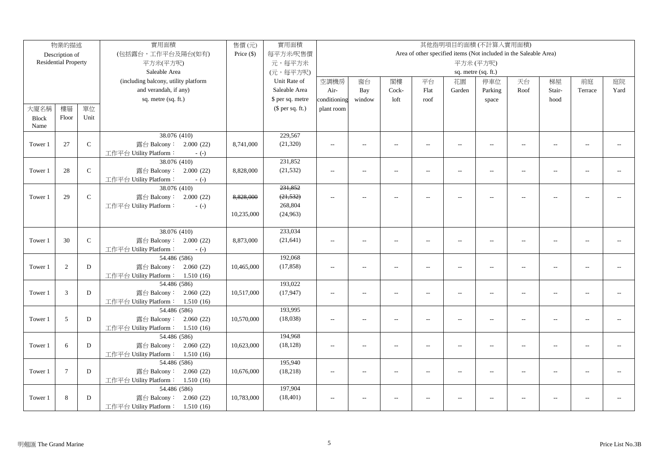|              | 物業的描述                       |               | 實用面積                                   | 售價(元)        | 實用面積             |                          |                |                          |                          | 其他指明項目的面積(不計算入實用面積)                                               |                          |                          |                |                |      |
|--------------|-----------------------------|---------------|----------------------------------------|--------------|------------------|--------------------------|----------------|--------------------------|--------------------------|-------------------------------------------------------------------|--------------------------|--------------------------|----------------|----------------|------|
|              | Description of              |               | (包括露台,工作平台及陽台(如有)                      | Price $(\$)$ | 每平方米/呎售價         |                          |                |                          |                          | Area of other specified items (Not included in the Saleable Area) |                          |                          |                |                |      |
|              | <b>Residential Property</b> |               | 平方米(平方呎)                               |              | 元,每平方米           |                          |                |                          |                          |                                                                   | 平方米(平方呎)                 |                          |                |                |      |
|              |                             |               | Saleable Area                          |              | (元,每平方呎)         |                          |                |                          |                          |                                                                   | sq. metre (sq. ft.)      |                          |                |                |      |
|              |                             |               | (including balcony, utility platform   |              | Unit Rate of     | 空調機房                     | 窗台             | 閣樓                       | 平台                       | 花園                                                                | 停車位                      | 天台                       | 梯屋             | 前庭             | 庭院   |
|              |                             |               | and verandah, if any)                  |              | Saleable Area    | Air-                     | Bay            | Cock-                    | Flat                     | Garden                                                            | Parking                  | Roof                     | Stair-         | Terrace        | Yard |
|              |                             |               | sq. metre (sq. ft.)                    |              | \$ per sq. metre | conditioning             | window         | loft                     | roof                     |                                                                   | space                    |                          | hood           |                |      |
| 大廈名稱         | 樓層                          | 單位            |                                        |              | $$$ per sq. ft.) | plant room               |                |                          |                          |                                                                   |                          |                          |                |                |      |
| <b>Block</b> | Floor                       | Unit          |                                        |              |                  |                          |                |                          |                          |                                                                   |                          |                          |                |                |      |
| Name         |                             |               |                                        |              |                  |                          |                |                          |                          |                                                                   |                          |                          |                |                |      |
|              |                             |               | 38.076 (410)                           |              | 229,567          |                          |                |                          |                          |                                                                   |                          |                          |                |                |      |
| Tower 1      | 27                          | $\mathbf C$   | 露台 Balcony: 2.000 (22)                 | 8,741,000    | (21, 320)        | $\sim$ $\sim$            | $\overline{a}$ | $\sim$                   | $\overline{a}$           | $\overline{a}$                                                    | $\overline{\phantom{m}}$ | $\sim$                   | $\sim$ $\sim$  | $\sim$         |      |
|              |                             |               | 工作平台 Utility Platform:<br>$-(-)$       |              |                  |                          |                |                          |                          |                                                                   |                          |                          |                |                |      |
|              |                             |               | 38.076 (410)                           |              | 231,852          |                          |                |                          |                          |                                                                   |                          |                          |                |                |      |
| Tower 1      | 28                          | $\mathcal{C}$ | 露台 Balcony: 2.000 (22)                 | 8,828,000    | (21, 532)        | $\sim$ $\sim$            | $\overline{a}$ | $\sim$                   | $\overline{a}$           | $\overline{a}$                                                    | $\overline{a}$           | $\sim$                   | $\sim$ $\sim$  | $\sim$         |      |
|              |                             |               | 工作平台 Utility Platform:<br>$-(-)$       |              |                  |                          |                |                          |                          |                                                                   |                          |                          |                |                |      |
|              |                             |               | 38.076 (410)                           |              | 231,852          |                          |                |                          |                          |                                                                   |                          |                          |                |                |      |
| Tower 1      | 29                          | $\mathcal{C}$ | 露台 Balcony:<br>2.000(22)               | 8,828,000    | (21, 532)        | $\overline{\phantom{a}}$ | $\overline{a}$ | $\overline{\phantom{a}}$ | $\overline{a}$           | --                                                                |                          | $\overline{\phantom{a}}$ | $\overline{a}$ |                |      |
|              |                             |               | 工作平台 Utility Platform:<br>$-(-)$       |              | 268,804          |                          |                |                          |                          |                                                                   |                          |                          |                |                |      |
|              |                             |               |                                        | 10,235,000   | (24,963)         |                          |                |                          |                          |                                                                   |                          |                          |                |                |      |
|              |                             |               |                                        |              |                  |                          |                |                          |                          |                                                                   |                          |                          |                |                |      |
|              |                             | $\mathcal{C}$ | 38.076 (410)                           |              | 233,034          |                          |                |                          |                          |                                                                   |                          |                          |                |                |      |
| Tower 1      | 30                          |               | 露台 Balcony: 2.000 (22)                 | 8,873,000    | (21, 641)        | $\sim$ $\sim$            | $\overline{a}$ | $\sim$                   | $\overline{a}$           | $\overline{a}$                                                    | $\overline{a}$           | $\sim$                   | $\overline{a}$ | $\overline{a}$ |      |
|              |                             |               | 工作平台 Utility Platform:<br>$-(-)$       |              | 192,068          |                          |                |                          |                          |                                                                   |                          |                          |                |                |      |
| Tower 1      | 2                           | D             | 54.486 (586)<br>露台 Balcony: 2.060 (22) | 10,465,000   | (17, 858)        | $\sim$ $\sim$            | $\frac{1}{2}$  | $\sim$                   |                          | $\overline{a}$                                                    | $\sim$ $\sim$            | $ -$                     | $\sim$         | $-1$           |      |
|              |                             |               | 工作平台 Utility Platform: 1.510 (16)      |              |                  |                          |                |                          | $\overline{\phantom{a}}$ |                                                                   |                          |                          |                |                |      |
|              |                             |               | 54.486 (586)                           |              | 193,022          |                          |                |                          |                          |                                                                   |                          |                          |                |                |      |
| Tower 1      | 3                           | D             | 露台 Balcony: 2.060 (22)                 | 10,517,000   | (17, 947)        | $\overline{a}$           | $\overline{a}$ | $\sim$                   | $\overline{a}$           | $\overline{\phantom{a}}$                                          | $-$                      | $\sim$                   | $\overline{a}$ | $\overline{a}$ |      |
|              |                             |               | 工作平台 Utility Platform: 1.510 (16)      |              |                  |                          |                |                          |                          |                                                                   |                          |                          |                |                |      |
|              |                             |               | 54.486 (586)                           |              | 193,995          |                          |                |                          |                          |                                                                   |                          |                          |                |                |      |
| Tower 1      | 5                           | ${\bf D}$     | 露台 Balcony: 2.060 (22)                 | 10,570,000   | (18,038)         | $\sim$                   | $\overline{a}$ | $\overline{\phantom{a}}$ | $\overline{a}$           | $\overline{a}$                                                    | $\overline{a}$           | $\sim$                   | $\sim$         | $\sim$ $\sim$  |      |
|              |                             |               | 工作平台 Utility Platform: 1.510 (16)      |              |                  |                          |                |                          |                          |                                                                   |                          |                          |                |                |      |
|              |                             |               | 54.486 (586)                           |              | 194,968          |                          |                |                          |                          |                                                                   |                          |                          |                |                |      |
| Tower 1      | 6                           | D             | 露台 Balcony: 2.060 (22)                 | 10,623,000   | (18, 128)        | $\sim$ $\sim$            | $\overline{a}$ | $\overline{\phantom{a}}$ | $\overline{a}$           | $\overline{a}$                                                    | $\overline{\phantom{a}}$ | $\sim$                   | $\sim$         | $\mathbf{u}$   |      |
|              |                             |               | 工作平台 Utility Platform: 1.510 (16)      |              |                  |                          |                |                          |                          |                                                                   |                          |                          |                |                |      |
|              |                             |               | 54.486 (586)                           |              | 195,940          |                          |                |                          |                          |                                                                   |                          |                          |                |                |      |
| Tower 1      | $\overline{7}$              | D             | 露台 Balcony: 2.060 (22)                 | 10,676,000   | (18, 218)        | $\sim$ $\sim$            | $\overline{a}$ | $\sim$                   | $\overline{a}$           | $\overline{a}$                                                    | $\overline{\phantom{a}}$ | $\sim$                   | $\overline{a}$ | $\sim$         |      |
|              |                             |               | 工作平台 Utility Platform: 1.510 (16)      |              |                  |                          |                |                          |                          |                                                                   |                          |                          |                |                |      |
|              |                             |               | 54.486 (586)                           |              | 197,904          |                          |                |                          |                          |                                                                   |                          |                          |                |                |      |
| Tower 1      | 8                           | D             | 露台 Balcony: 2.060 (22)                 | 10,783,000   | (18, 401)        | $\overline{\phantom{a}}$ | $\overline{a}$ | $\overline{\phantom{a}}$ | $\overline{a}$           | --                                                                | $\overline{a}$           | $\overline{a}$           | $\overline{a}$ |                |      |
|              |                             |               | 工作平台 Utility Platform: 1.510 (16)      |              |                  |                          |                |                          |                          |                                                                   |                          |                          |                |                |      |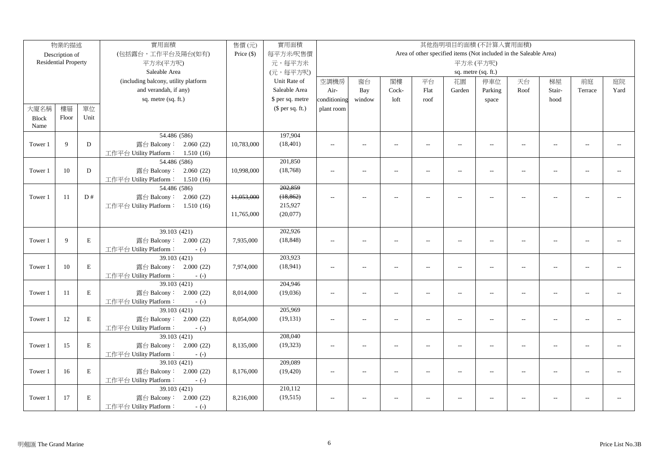|              | 物業的描述                       |             | 實用面積                                             | 售價(元)        | 實用面積             |                          |                |                          |                |                          | 其他指明項目的面積(不計算入實用面積)                                               |                          |                |                |      |
|--------------|-----------------------------|-------------|--------------------------------------------------|--------------|------------------|--------------------------|----------------|--------------------------|----------------|--------------------------|-------------------------------------------------------------------|--------------------------|----------------|----------------|------|
|              | Description of              |             | (包括露台,工作平台及陽台(如有)                                | Price $(\$)$ | 每平方米/呎售價         |                          |                |                          |                |                          | Area of other specified items (Not included in the Saleable Area) |                          |                |                |      |
|              | <b>Residential Property</b> |             | 平方米(平方呎)                                         |              | 元,每平方米           |                          |                |                          |                |                          | 平方米(平方呎)                                                          |                          |                |                |      |
|              |                             |             | Saleable Area                                    |              | (元,每平方呎)         |                          |                |                          |                |                          | sq. metre (sq. ft.)                                               |                          |                |                |      |
|              |                             |             | (including balcony, utility platform             |              | Unit Rate of     | 空調機房                     | 窗台             | 閣樓                       | 平台             | 花園                       | 停車位                                                               | 天台                       | 梯屋             | 前庭             | 庭院   |
|              |                             |             | and verandah, if any)                            |              | Saleable Area    | Air-                     | Bay            | Cock-                    | Flat           | Garden                   | Parking                                                           | Roof                     | Stair-         | Terrace        | Yard |
|              |                             |             | sq. metre (sq. ft.)                              |              | \$ per sq. metre | conditioning             | window         | loft                     | roof           |                          | space                                                             |                          | hood           |                |      |
| 大廈名稱         | 樓層                          | 單位          |                                                  |              | $$$ per sq. ft.) | plant room               |                |                          |                |                          |                                                                   |                          |                |                |      |
| <b>Block</b> | Floor                       | Unit        |                                                  |              |                  |                          |                |                          |                |                          |                                                                   |                          |                |                |      |
| Name         |                             |             |                                                  |              |                  |                          |                |                          |                |                          |                                                                   |                          |                |                |      |
|              |                             |             | 54.486 (586)                                     |              | 197,904          |                          |                |                          |                |                          |                                                                   |                          |                |                |      |
| Tower 1      | 9                           | $\mathbf D$ | 露台 Balcony: 2.060 (22)                           | 10,783,000   | (18, 401)        | $\overline{a}$           | $\overline{a}$ | $\sim$                   | $\overline{a}$ | $\overline{a}$           | $\overline{\phantom{m}}$                                          | $\sim$                   | $\sim$ $\sim$  | $\sim$         |      |
|              |                             |             | 工作平台 Utility Platform: 1.510 (16)                |              |                  |                          |                |                          |                |                          |                                                                   |                          |                |                |      |
|              |                             |             | 54.486 (586)                                     |              | 201,850          |                          |                |                          |                |                          |                                                                   |                          |                |                |      |
| Tower 1      | 10                          | D           | 露台 Balcony: 2.060 (22)                           | 10,998,000   | (18, 768)        | $\sim$ $\sim$            | $\overline{a}$ | $\sim$                   | $\overline{a}$ | $\overline{a}$           | $\overline{a}$                                                    | $\sim$                   | $\sim$ $\sim$  | $\sim$         |      |
|              |                             |             | 工作平台 Utility Platform: 1.510 (16)                |              |                  |                          |                |                          |                |                          |                                                                   |                          |                |                |      |
|              |                             |             | 54.486 (586)                                     |              | 202,859          |                          |                |                          |                |                          |                                                                   |                          |                |                |      |
| Tower 1      | 11                          | D#          | 露台 Balcony: 2.060 (22)                           | 11,053,000   | (18, 862)        | $\overline{\phantom{a}}$ | $\overline{a}$ | $\overline{\phantom{a}}$ | $\overline{a}$ | --                       |                                                                   | $\overline{\phantom{a}}$ | $\overline{a}$ |                |      |
|              |                             |             | 工作平台 Utility Platform: 1.510 (16)                |              | 215,927          |                          |                |                          |                |                          |                                                                   |                          |                |                |      |
|              |                             |             |                                                  | 11,765,000   | (20,077)         |                          |                |                          |                |                          |                                                                   |                          |                |                |      |
|              |                             |             |                                                  |              |                  |                          |                |                          |                |                          |                                                                   |                          |                |                |      |
|              |                             |             | 39.103(421)                                      |              | 202,926          |                          |                |                          |                |                          |                                                                   |                          |                |                |      |
| Tower 1      | 9                           | $\mathbf E$ | 露台 Balcony: 2.000 (22)                           | 7,935,000    | (18, 848)        | $\overline{\phantom{a}}$ | $\overline{a}$ | $\sim$                   | $\overline{a}$ | $\overline{a}$           | $\overline{a}$                                                    | $\overline{a}$           | $\overline{a}$ | $\overline{a}$ |      |
|              |                             |             | 工作平台 Utility Platform:<br>$-(-)$                 |              |                  |                          |                |                          |                |                          |                                                                   |                          |                |                |      |
|              |                             |             | 39.103 (421)                                     |              | 203,923          |                          |                |                          |                |                          |                                                                   |                          |                |                |      |
| Tower 1      | 10                          | $\mathbf E$ | 露台 Balcony: 2.000 (22)                           | 7,974,000    | (18, 941)        | $\sim$ $\sim$            | $\frac{1}{2}$  | $\sim$                   | $\overline{a}$ | $\overline{a}$           | $\sim$ $\sim$                                                     | $ -$                     | $\sim$         | $-1$           |      |
|              |                             |             | 工作平台 Utility Platform:<br>$-(-)$<br>39.103 (421) |              | 204,946          |                          |                |                          |                |                          |                                                                   |                          |                |                |      |
| Tower 1      | 11                          | $\mathbf E$ | 露台 Balcony: 2.000 (22)                           | 8,014,000    | (19,036)         | $\overline{a}$           | $\overline{a}$ | $\sim$                   | $\overline{a}$ | $\overline{\phantom{a}}$ | $-$                                                               | $\sim$                   | $\sim$         | $\overline{a}$ |      |
|              |                             |             | 工作平台 Utility Platform:                           |              |                  |                          |                |                          |                |                          |                                                                   |                          |                |                |      |
|              |                             |             | $-(-)$<br>39.103(421)                            |              | 205,969          |                          |                |                          |                |                          |                                                                   |                          |                |                |      |
| Tower 1      | 12                          | $\mathbf E$ | 露台 Balcony: 2.000 (22)                           | 8,054,000    | (19, 131)        | $\sim$                   | $\overline{a}$ | $\overline{\phantom{a}}$ | $\overline{a}$ | $\overline{a}$           | $\overline{a}$                                                    | $\sim$                   | $\sim$         | $\sim$ $\sim$  |      |
|              |                             |             | 工作平台 Utility Platform:<br>$-(-)$                 |              |                  |                          |                |                          |                |                          |                                                                   |                          |                |                |      |
|              |                             |             | 39.103 (421)                                     |              | 208,040          |                          |                |                          |                |                          |                                                                   |                          |                |                |      |
| Tower 1      | 15                          | $\mathbf E$ | 露台 Balcony: 2.000 (22)                           | 8,135,000    | (19, 323)        | $\sim$ $\sim$            | $\overline{a}$ | $\overline{\phantom{a}}$ | $\overline{a}$ | $\overline{a}$           | $\overline{a}$                                                    | $\sim$                   | $\sim$         | $\mathbf{u}$   |      |
|              |                             |             | 工作平台 Utility Platform:<br>$-(-)$                 |              |                  |                          |                |                          |                |                          |                                                                   |                          |                |                |      |
|              |                             |             | 39.103 (421)                                     |              | 209,089          |                          |                |                          |                |                          |                                                                   |                          |                |                |      |
| Tower 1      | 16                          | $\mathbf E$ | 露台 Balcony: 2.000 (22)                           | 8,176,000    | (19, 420)        | $\sim$ $\sim$            | $\overline{a}$ | $\sim$                   | $\overline{a}$ | $\sim$                   | $\overline{a}$                                                    | $\sim$                   | $\overline{a}$ | $\sim$         |      |
|              |                             |             | 工作平台 Utility Platform:<br>$-(-)$                 |              |                  |                          |                |                          |                |                          |                                                                   |                          |                |                |      |
|              |                             |             | 39.103 (421)                                     |              | 210,112          |                          |                |                          |                |                          |                                                                   |                          |                |                |      |
| Tower 1      | 17                          | $\,$ E      | 露台 Balcony: 2.000 (22)                           | 8,216,000    | (19, 515)        | $\overline{\phantom{a}}$ | $\overline{a}$ | $\overline{\phantom{a}}$ | $\overline{a}$ | --                       | $\overline{a}$                                                    | $\overline{\phantom{a}}$ | $\overline{a}$ |                |      |
|              |                             |             | 工作平台 Utility Platform:<br>$-(-)$                 |              |                  |                          |                |                          |                |                          |                                                                   |                          |                |                |      |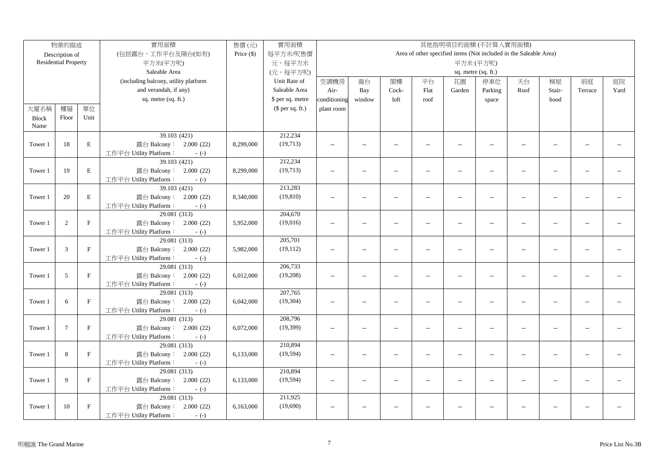|              | 物業的描述                       |              | 實用面積                                             | 售價(元)        | 實用面積             |                |                          |                          |                          |                          | 其他指明項目的面積(不計算入實用面積)                                               |                          |                          |                |      |
|--------------|-----------------------------|--------------|--------------------------------------------------|--------------|------------------|----------------|--------------------------|--------------------------|--------------------------|--------------------------|-------------------------------------------------------------------|--------------------------|--------------------------|----------------|------|
|              | Description of              |              | (包括露台,工作平台及陽台(如有)                                | Price $(\$)$ | 每平方米/呎售價         |                |                          |                          |                          |                          | Area of other specified items (Not included in the Saleable Area) |                          |                          |                |      |
|              | <b>Residential Property</b> |              | 平方米(平方呎)                                         |              | 元,每平方米           |                |                          |                          |                          |                          | 平方米(平方呎)                                                          |                          |                          |                |      |
|              |                             |              | Saleable Area                                    |              | (元,每平方呎)         |                |                          |                          |                          |                          | sq. metre (sq. ft.)                                               |                          |                          |                |      |
|              |                             |              | (including balcony, utility platform             |              | Unit Rate of     | 空調機房           | 窗台                       | 閣樓                       | 平台                       | 花園                       | 停車位                                                               | 天台                       | 梯屋                       | 前庭             | 庭院   |
|              |                             |              | and verandah, if any)                            |              | Saleable Area    | Air-           | Bay                      | Cock-                    | Flat                     | Garden                   | Parking                                                           | Roof                     | Stair-                   | Terrace        | Yard |
|              |                             |              | sq. metre (sq. ft.)                              |              | \$ per sq. metre | conditioning   | window                   | loft                     | roof                     |                          | space                                                             |                          | hood                     |                |      |
| 大廈名稱         | 樓層                          | 單位           |                                                  |              | (\$ per sq. ft.) | plant room     |                          |                          |                          |                          |                                                                   |                          |                          |                |      |
| <b>Block</b> | Floor                       | Unit         |                                                  |              |                  |                |                          |                          |                          |                          |                                                                   |                          |                          |                |      |
| Name         |                             |              |                                                  |              |                  |                |                          |                          |                          |                          |                                                                   |                          |                          |                |      |
|              |                             |              | 39.103 (421)                                     |              | 212,234          |                |                          |                          |                          |                          |                                                                   |                          |                          |                |      |
| Tower 1      | 18                          | $\mathbf E$  | 露台 Balcony: 2.000 (22)                           | 8,299,000    | (19,713)         | $\sim$ $\sim$  | $\overline{a}$           | $\sim$                   | $\sim$                   | $\sim$                   | $\sim$                                                            | $\sim$                   | $\sim$                   | $\overline{a}$ |      |
|              |                             |              | 工作平台 Utility Platform:<br>$-(-)$                 |              |                  |                |                          |                          |                          |                          |                                                                   |                          |                          |                |      |
|              |                             |              | 39.103 (421)                                     |              | 212,234          |                |                          |                          |                          |                          |                                                                   |                          |                          |                |      |
| Tower 1      | 19                          | $\mathbf E$  | 露台 Balcony: 2.000 (22)                           | 8,299,000    | (19, 713)        | $\overline{a}$ | $\overline{a}$           | $\overline{a}$           | $\sim$                   | $\overline{a}$           | $\overline{a}$                                                    | $\sim$                   | $\sim$                   | $\overline{a}$ |      |
|              |                             |              | 工作平台 Utility Platform:<br>$-(-)$                 |              |                  |                |                          |                          |                          |                          |                                                                   |                          |                          |                |      |
|              |                             |              | 39.103 (421)                                     |              | 213,283          |                |                          |                          |                          |                          |                                                                   |                          |                          |                |      |
| Tower 1      | 20                          | $\mathbf E$  | 露台 Balcony: 2.000 (22)                           | 8,340,000    | (19, 810)        | $\sim$ $\sim$  | $\sim$                   | $\sim$                   | $\overline{a}$           | $\overline{a}$           | $\sim$                                                            | $\sim$                   | $\sim$                   |                |      |
|              |                             |              | 工作平台 Utility Platform:<br>$-(-)$                 |              |                  |                |                          |                          |                          |                          |                                                                   |                          |                          |                |      |
|              |                             |              | 29.081 (313)                                     |              | 204,670          |                |                          |                          |                          |                          |                                                                   |                          |                          |                |      |
| Tower 1      | 2                           | $\mathbf F$  | 露台 Balcony: 2.000 (22)                           | 5,952,000    | (19,016)         | $\overline{a}$ | $\overline{\phantom{a}}$ | $\sim$                   | $\overline{a}$           | $\overline{a}$           | $\sim$ $\sim$                                                     | $\sim$                   | $\sim$                   | $\sim$ $\sim$  |      |
|              |                             |              | 工作平台 Utility Platform:<br>$-(-)$                 |              |                  |                |                          |                          |                          |                          |                                                                   |                          |                          |                |      |
|              |                             |              | 29.081 (313)                                     |              | 205,701          |                |                          |                          |                          |                          |                                                                   |                          |                          |                |      |
| Tower 1      | $\mathfrak{Z}$              | $\mathbf{F}$ | 露台 Balcony: 2.000 (22)                           | 5,982,000    | (19, 112)        | $\overline{a}$ | $\overline{a}$           | $\overline{a}$           | $\overline{\phantom{a}}$ | $\overline{\phantom{a}}$ | $\overline{\phantom{a}}$                                          | $\overline{\phantom{a}}$ | $\overline{a}$           | $\overline{a}$ |      |
|              |                             |              | 工作平台 Utility Platform:<br>$-(-)$                 |              |                  |                |                          |                          |                          |                          |                                                                   |                          |                          |                |      |
|              |                             |              | 29.081(313)                                      |              | 206,733          |                |                          |                          |                          |                          |                                                                   |                          |                          |                |      |
| Tower 1      | $\sqrt{5}$                  | $\mathbf F$  | 露台 Balcony: 2.000 (22)                           | 6,012,000    | (19,208)         | $\overline{a}$ | $\overline{\phantom{a}}$ | $\overline{a}$           | $\overline{a}$           | $\sim$                   | $\overline{a}$                                                    | $\overline{\phantom{a}}$ | $\sim$                   | $\sim$ $\sim$  |      |
|              |                             |              | 工作平台 Utility Platform:<br>$-(-)$                 |              |                  |                |                          |                          |                          |                          |                                                                   |                          |                          |                |      |
|              |                             |              | 29.081 (313)                                     |              | 207,765          |                |                          |                          |                          |                          |                                                                   |                          |                          |                |      |
| Tower 1      | 6                           | $\mathbf{F}$ | 露台 Balcony: 2.000 (22)                           | 6,042,000    | (19, 304)        | $\overline{a}$ | $\overline{a}$           | $\overline{a}$           | $\overline{\phantom{a}}$ | $\overline{a}$           | $\overline{\phantom{a}}$                                          | $\overline{\phantom{a}}$ | $\overline{a}$           | $\overline{a}$ |      |
|              |                             |              | 工作平台 Utility Platform:<br>$-(-)$                 |              |                  |                |                          |                          |                          |                          |                                                                   |                          |                          |                |      |
|              |                             | $\mathbf F$  | 29.081 (313)                                     |              | 208,796          |                |                          |                          |                          |                          |                                                                   |                          |                          |                |      |
| Tower 1      | $7\phantom{.0}$             |              | 露台 Balcony: 2.000 (22)                           | 6,072,000    | (19,399)         | $\sim$         | $\overline{\phantom{a}}$ | $\overline{\phantom{a}}$ | $\overline{a}$           | $\overline{\phantom{a}}$ | $\overline{\phantom{a}}$                                          | $\overline{\phantom{a}}$ | $\overline{\phantom{a}}$ | $-1$           |      |
|              |                             |              | 工作平台 Utility Platform:<br>$-(-)$<br>29.081 (313) |              | 210,894          |                |                          |                          |                          |                          |                                                                   |                          |                          |                |      |
| Tower 1      | 8                           | $\mathbf{F}$ | 露台 Balcony: 2.000 (22)                           | 6,133,000    | (19, 594)        | $\overline{a}$ | $\overline{a}$           | $\overline{\phantom{a}}$ | $\overline{a}$           | $\overline{\phantom{a}}$ | $\overline{a}$                                                    | $\overline{\phantom{a}}$ | $\sim$                   | $\overline{a}$ |      |
|              |                             |              | 工作平台 Utility Platform:                           |              |                  |                |                          |                          |                          |                          |                                                                   |                          |                          |                |      |
|              |                             |              | $-(-)$<br>29.081 (313)                           |              | 210,894          |                |                          |                          |                          |                          |                                                                   |                          |                          |                |      |
| Tower 1      | 9                           | F            | 露台 Balcony: 2.000 (22)                           | 6,133,000    | (19, 594)        | $\sim$ $\sim$  | $\overline{a}$           | $\sim$                   | $\overline{a}$           | $\overline{a}$           | $\overline{a}$                                                    | $\sim$                   | $\overline{a}$           | $\overline{a}$ |      |
|              |                             |              | 工作平台 Utility Platform:<br>$-(-)$                 |              |                  |                |                          |                          |                          |                          |                                                                   |                          |                          |                |      |
|              |                             |              | 29.081 (313)                                     |              | 211,925          |                |                          |                          |                          |                          |                                                                   |                          |                          |                |      |
| Tower 1      | 10                          | $\mathbf{F}$ | 露台 Balcony: 2.000 (22)                           | 6,163,000    | (19,690)         | $\sim$ $\sim$  | $\overline{a}$           | $\sim$                   |                          | $\overline{a}$           | $\sim$ $\sim$                                                     | $\overline{a}$           | $\overline{a}$           | $\sim$         |      |
|              |                             |              | 工作平台 Utility Platform:<br>$-(-)$                 |              |                  |                |                          |                          |                          |                          |                                                                   |                          |                          |                |      |
|              |                             |              |                                                  |              |                  |                |                          |                          |                          |                          |                                                                   |                          |                          |                |      |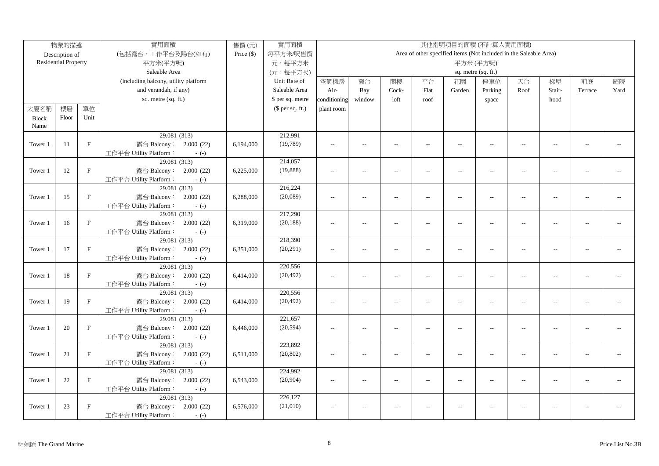|              | 物業的描述                       |              | 實用面積                                             | 售價(元)        | 實用面積                 |                |                          |                          |                          |                          | 其他指明項目的面積(不計算入實用面積)                                               |                          |                          |                |      |
|--------------|-----------------------------|--------------|--------------------------------------------------|--------------|----------------------|----------------|--------------------------|--------------------------|--------------------------|--------------------------|-------------------------------------------------------------------|--------------------------|--------------------------|----------------|------|
|              | Description of              |              | (包括露台,工作平台及陽台(如有)                                | Price $(\$)$ | 每平方米/呎售價             |                |                          |                          |                          |                          | Area of other specified items (Not included in the Saleable Area) |                          |                          |                |      |
|              | <b>Residential Property</b> |              | 平方米(平方呎)                                         |              | 元,每平方米               |                |                          |                          |                          |                          | 平方米(平方呎)                                                          |                          |                          |                |      |
|              |                             |              | Saleable Area                                    |              | (元,每平方呎)             |                |                          |                          |                          |                          | sq. metre (sq. ft.)                                               |                          |                          |                |      |
|              |                             |              | (including balcony, utility platform             |              | Unit Rate of         | 空調機房           | 窗台                       | 閣樓                       | 平台                       | 花園                       | 停車位                                                               | 天台                       | 梯屋                       | 前庭             | 庭院   |
|              |                             |              | and verandah, if any)                            |              | Saleable Area        | Air-           | Bay                      | Cock-                    | Flat                     | Garden                   | Parking                                                           | Roof                     | Stair-                   | Terrace        | Yard |
|              |                             |              | sq. metre (sq. ft.)                              |              | \$ per sq. metre     | conditioning   | window                   | loft                     | roof                     |                          | space                                                             |                          | hood                     |                |      |
| 大廈名稱         | 樓層                          | 單位           |                                                  |              | (\$ per sq. ft.)     | plant room     |                          |                          |                          |                          |                                                                   |                          |                          |                |      |
| <b>Block</b> | Floor                       | Unit         |                                                  |              |                      |                |                          |                          |                          |                          |                                                                   |                          |                          |                |      |
| Name         |                             |              |                                                  |              |                      |                |                          |                          |                          |                          |                                                                   |                          |                          |                |      |
|              |                             |              | 29.081 (313)                                     |              | 212,991              |                |                          |                          |                          |                          |                                                                   |                          |                          |                |      |
| Tower 1      | 11                          | $\mathbf{F}$ | 露台 Balcony: 2.000 (22)                           | 6,194,000    | (19,789)             | $\sim$ $\sim$  | $\overline{a}$           | $\sim$                   | $\sim$                   | $\sim$                   | $\sim$                                                            | $\sim$                   | $\sim$                   | $\overline{a}$ |      |
|              |                             |              | 工作平台 Utility Platform:<br>$-(-)$                 |              |                      |                |                          |                          |                          |                          |                                                                   |                          |                          |                |      |
|              |                             |              | 29.081 (313)                                     |              | 214,057              |                |                          |                          |                          |                          |                                                                   |                          |                          |                |      |
| Tower 1      | 12                          | $\mathbf{F}$ | 露台 Balcony: 2.000 (22)                           | 6,225,000    | (19, 888)            | $\overline{a}$ | $\overline{a}$           | $\sim$                   | $\overline{a}$           | $\overline{a}$           | $\overline{a}$                                                    | $\sim$                   | $\sim$                   | $\overline{a}$ |      |
|              |                             |              | 工作平台 Utility Platform:<br>$-(-)$                 |              |                      |                |                          |                          |                          |                          |                                                                   |                          |                          |                |      |
|              |                             |              | 29.081(313)                                      |              | 216,224              |                |                          |                          |                          |                          |                                                                   |                          |                          |                |      |
| Tower 1      | 15                          | $\mathbf{F}$ | 露台 Balcony: 2.000 (22)                           | 6,288,000    | (20,089)             | $\sim$ $\sim$  | $\sim$                   | $\sim$                   | $\overline{a}$           | $\overline{a}$           | $\sim$                                                            | $\sim$                   | $\sim$                   |                |      |
|              |                             |              | 工作平台 Utility Platform:<br>$-(-)$                 |              |                      |                |                          |                          |                          |                          |                                                                   |                          |                          |                |      |
|              |                             |              | 29.081 (313)                                     |              | 217,290              |                |                          |                          |                          |                          |                                                                   |                          |                          |                |      |
| Tower 1      | 16                          | $\mathbf F$  | 露台 Balcony: 2.000 (22)                           | 6,319,000    | (20, 188)            | $\overline{a}$ | $\overline{\phantom{a}}$ | $\sim$                   | $\overline{a}$           | $\overline{a}$           | $\sim$ $\sim$                                                     | $\sim$                   | $\sim$                   | $\sim$ $\sim$  |      |
|              |                             |              | 工作平台 Utility Platform:<br>$-(-)$                 |              |                      |                |                          |                          |                          |                          |                                                                   |                          |                          |                |      |
|              |                             |              | 29.081 (313)                                     |              | 218,390              |                |                          |                          |                          |                          |                                                                   |                          |                          |                |      |
| Tower 1      | 17                          | $\mathbf{F}$ | 露台 Balcony: 2.000 (22)                           | 6,351,000    | (20, 291)            | $\overline{a}$ | $\overline{a}$           | $\overline{a}$           | $\overline{\phantom{a}}$ | $\overline{\phantom{a}}$ | $\overline{\phantom{a}}$                                          | $\overline{\phantom{a}}$ | $\overline{a}$           | $\overline{a}$ |      |
|              |                             |              | 工作平台 Utility Platform:<br>$-(-)$                 |              |                      |                |                          |                          |                          |                          |                                                                   |                          |                          |                |      |
|              |                             |              | 29.081(313)                                      |              | 220,556              |                |                          |                          |                          |                          |                                                                   |                          |                          |                |      |
| Tower 1      | 18                          | $\mathbf F$  | 露台 Balcony: 2.000 (22)                           | 6,414,000    | (20, 492)            | $\overline{a}$ | $\overline{\phantom{a}}$ | $\overline{a}$           | $\overline{a}$           | $\sim$                   | $\overline{a}$                                                    | $\overline{\phantom{a}}$ | $\sim$                   | $\sim$ $\sim$  |      |
|              |                             |              | 工作平台 Utility Platform:<br>$-(-)$                 |              |                      |                |                          |                          |                          |                          |                                                                   |                          |                          |                |      |
|              |                             |              | 29.081 (313)                                     |              | 220,556              |                |                          |                          |                          |                          |                                                                   |                          |                          |                |      |
| Tower 1      | 19                          | $\mathbf{F}$ | 露台 Balcony: 2.000 (22)                           | 6,414,000    | (20, 492)            | $\overline{a}$ | $\overline{a}$           | $\overline{a}$           | $\overline{\phantom{a}}$ | $\overline{a}$           | $\overline{\phantom{a}}$                                          | $\overline{\phantom{a}}$ | $\overline{a}$           | $\overline{a}$ |      |
|              |                             |              | 工作平台 Utility Platform:<br>$-(-)$                 |              |                      |                |                          |                          |                          |                          |                                                                   |                          |                          |                |      |
|              |                             |              | 29.081 (313)                                     |              | 221,657              |                |                          |                          |                          |                          |                                                                   |                          |                          |                |      |
| Tower 1      | 20                          | $\mathbf F$  | 露台 Balcony: 2.000 (22)                           | 6,446,000    | (20, 594)            | $\sim$         | $\overline{\phantom{a}}$ | $\overline{\phantom{a}}$ | $\overline{a}$           | $\overline{\phantom{a}}$ | $\overline{\phantom{a}}$                                          | $\overline{\phantom{a}}$ | $\overline{\phantom{a}}$ | $-1$           |      |
|              |                             |              | 工作平台 Utility Platform:<br>$-(-)$                 |              |                      |                |                          |                          |                          |                          |                                                                   |                          |                          |                |      |
|              | 21                          | $\mathbf{F}$ | 29.081 (313)                                     |              | 223,892<br>(20, 802) |                |                          |                          |                          |                          |                                                                   |                          |                          |                |      |
| Tower 1      |                             |              | 露台 Balcony: 2.000 (22)<br>工作平台 Utility Platform: | 6,511,000    |                      | $\overline{a}$ | $\overline{a}$           | $\overline{\phantom{a}}$ | $\overline{a}$           | $\overline{\phantom{a}}$ | $\overline{\phantom{a}}$                                          | $\overline{\phantom{a}}$ | $\sim$                   | $\overline{a}$ |      |
|              |                             |              | $-(-)$<br>29.081 (313)                           |              | 224,992              |                |                          |                          |                          |                          |                                                                   |                          |                          |                |      |
| Tower 1      | 22                          | $\mathbf{F}$ | 露台 Balcony: 2.000 (22)                           | 6,543,000    | (20,904)             | $\sim$ $\sim$  | $\overline{a}$           | $\sim$                   | $\overline{a}$           | $\overline{a}$           | $\overline{a}$                                                    | $\sim$                   | $\overline{a}$           | $\overline{a}$ |      |
|              |                             |              | 工作平台 Utility Platform:<br>$-(-)$                 |              |                      |                |                          |                          |                          |                          |                                                                   |                          |                          |                |      |
|              |                             |              | 29.081 (313)                                     |              | 226,127              |                |                          |                          |                          |                          |                                                                   |                          |                          |                |      |
| Tower 1      | 23                          | $\mathbf F$  | 露台 Balcony: 2.000 (22)                           | 6,576,000    | (21,010)             | $\sim$ $\sim$  | $\overline{a}$           | $\sim$                   |                          | $\overline{a}$           | $\sim$ $\sim$                                                     | $\overline{a}$           | $\overline{a}$           | $\sim$         |      |
|              |                             |              | 工作平台 Utility Platform:<br>$-(-)$                 |              |                      |                |                          |                          |                          |                          |                                                                   |                          |                          |                |      |
|              |                             |              |                                                  |              |                      |                |                          |                          |                          |                          |                                                                   |                          |                          |                |      |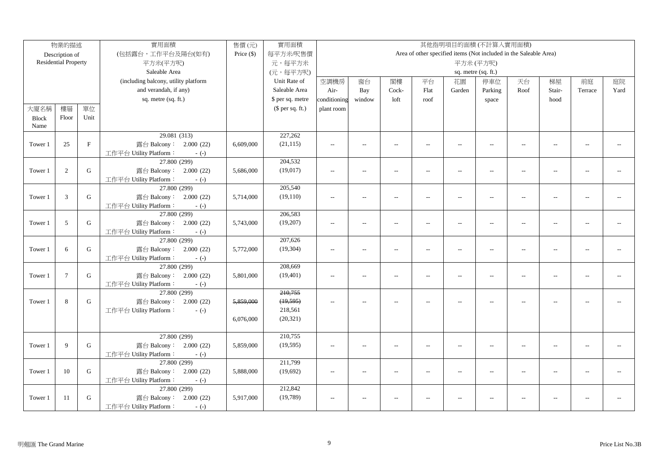|              | 物業的描述                       |             | 實用面積                                             | 售價(元)        | 實用面積             |                          |                          |                          |                          |                          | 其他指明項目的面積(不計算入實用面積)                                               |                          |                          |                |      |
|--------------|-----------------------------|-------------|--------------------------------------------------|--------------|------------------|--------------------------|--------------------------|--------------------------|--------------------------|--------------------------|-------------------------------------------------------------------|--------------------------|--------------------------|----------------|------|
|              | Description of              |             | (包括露台,工作平台及陽台(如有)                                | Price $(\$)$ | 每平方米/呎售價         |                          |                          |                          |                          |                          | Area of other specified items (Not included in the Saleable Area) |                          |                          |                |      |
|              | <b>Residential Property</b> |             | 平方米(平方呎)                                         |              | 元,每平方米           |                          |                          |                          |                          |                          | 平方米(平方呎)                                                          |                          |                          |                |      |
|              |                             |             | Saleable Area                                    |              | (元,每平方呎)         |                          |                          |                          |                          |                          | sq. metre (sq. ft.)                                               |                          |                          |                |      |
|              |                             |             | (including balcony, utility platform             |              | Unit Rate of     | 空調機房                     | 窗台                       | 閣樓                       | 平台                       | 花園                       | 停車位                                                               | 天台                       | 梯屋                       | 前庭             | 庭院   |
|              |                             |             | and verandah, if any)                            |              | Saleable Area    | Air-                     | Bay                      | Cock-                    | Flat                     | Garden                   | Parking                                                           | Roof                     | Stair-                   | Terrace        | Yard |
|              |                             |             | sq. metre (sq. ft.)                              |              | \$ per sq. metre | conditioning             | window                   | loft                     | roof                     |                          | space                                                             |                          | hood                     |                |      |
| 大廈名稱         | 樓層                          | 單位          |                                                  |              | $$$ per sq. ft.) | plant room               |                          |                          |                          |                          |                                                                   |                          |                          |                |      |
| <b>Block</b> | Floor                       | Unit        |                                                  |              |                  |                          |                          |                          |                          |                          |                                                                   |                          |                          |                |      |
| Name         |                             |             |                                                  |              |                  |                          |                          |                          |                          |                          |                                                                   |                          |                          |                |      |
|              |                             |             | 29.081 (313)                                     |              | 227,262          |                          |                          |                          |                          |                          |                                                                   |                          |                          |                |      |
| Tower 1      | 25                          | $\mathbf F$ | 露台 Balcony: 2.000 (22)                           | 6,609,000    | (21, 115)        | $\overline{a}$           | $\overline{a}$           | $\sim$                   | $\overline{a}$           | $\overline{a}$           | $\overline{\phantom{a}}$                                          | $\sim$                   | $\sim$ $\sim$            | $\sim$         |      |
|              |                             |             | 工作平台 Utility Platform:<br>$-(-)$                 |              |                  |                          |                          |                          |                          |                          |                                                                   |                          |                          |                |      |
|              |                             |             | 27.800 (299)                                     |              | 204,532          |                          |                          |                          |                          |                          |                                                                   |                          |                          |                |      |
| Tower 1      | 2                           | $\mathbf G$ | 露台 Balcony: 2.000 (22)                           | 5,686,000    | (19, 017)        | $\sim$ $\sim$            | $\overline{a}$           | $\sim$                   | $\overline{a}$           | $\overline{a}$           | $\overline{a}$                                                    | $\sim$                   | $\sim$ $\sim$            | $-$            |      |
|              |                             |             | 工作平台 Utility Platform:<br>$-(-)$                 |              |                  |                          |                          |                          |                          |                          |                                                                   |                          |                          |                |      |
|              |                             |             | 27.800 (299)                                     |              | 205,540          |                          |                          |                          |                          |                          |                                                                   |                          |                          |                |      |
| Tower 1      | 3                           | $\mathbf G$ | 露台 Balcony: 2.000 (22)                           | 5,714,000    | (19, 110)        | $\overline{\phantom{a}}$ | $\qquad \qquad -$        | $\overline{\phantom{a}}$ | $\overline{a}$           | $\overline{\phantom{a}}$ | $\overline{\phantom{a}}$                                          | $\overline{\phantom{a}}$ | $\overline{\phantom{a}}$ | $-$            |      |
|              |                             |             | 工作平台 Utility Platform:<br>$-(-)$                 |              |                  |                          |                          |                          |                          |                          |                                                                   |                          |                          |                |      |
|              |                             |             | 27.800 (299)                                     |              | 206,583          |                          |                          |                          |                          |                          |                                                                   |                          |                          |                |      |
| Tower 1      | 5                           | G           | 露台 Balcony: 2.000 (22)                           | 5,743,000    | (19,207)         | $\overline{a}$           | $\overline{a}$           | $\sim$                   | $\overline{a}$           | $\overline{a}$           | $\sim$                                                            | $\overline{a}$           | $\sim$                   |                |      |
|              |                             |             | 工作平台 Utility Platform:<br>$-(-)$<br>27.800 (299) |              | 207,626          |                          |                          |                          |                          |                          |                                                                   |                          |                          |                |      |
| Tower 1      | 6                           | ${\bf G}$   | 露台 Balcony: 2.000 (22)                           | 5,772,000    | (19, 304)        | $\overline{a}$           | $\overline{a}$           | $\overline{a}$           | $\overline{\phantom{a}}$ | $\overline{\phantom{a}}$ | $\overline{a}$                                                    | $\overline{\phantom{a}}$ | $\overline{a}$           | $\overline{a}$ |      |
|              |                             |             | 工作平台 Utility Platform:<br>$-(-)$                 |              |                  |                          |                          |                          |                          |                          |                                                                   |                          |                          |                |      |
|              |                             |             | 27.800 (299)                                     |              | 208,669          |                          |                          |                          |                          |                          |                                                                   |                          |                          |                |      |
| Tower 1      | $\overline{7}$              | ${\bf G}$   | 露台 Balcony: 2.000 (22)                           | 5,801,000    | (19, 401)        | $\overline{a}$           | $\overline{\phantom{a}}$ | $\overline{a}$           | $\overline{a}$           | $\overline{a}$           | $\sim$                                                            | $\overline{a}$           | $\overline{a}$           | $\overline{a}$ |      |
|              |                             |             | 工作平台 Utility Platform:<br>$-(-)$                 |              |                  |                          |                          |                          |                          |                          |                                                                   |                          |                          |                |      |
|              |                             |             | 27.800 (299)                                     |              | 210,755          |                          |                          |                          |                          |                          |                                                                   |                          |                          |                |      |
| Tower 1      | 8                           | G           | 露台 Balcony: 2.000 (22)                           | 5,859,000    | (19, 595)        | $\sim$ $\sim$            | $\overline{a}$           | $\sim$                   | $\overline{a}$           | $\overline{a}$           |                                                                   | $\overline{a}$           |                          |                |      |
|              |                             |             | 工作平台 Utility Platform:<br>$-(-)$                 |              | 218,561          |                          |                          |                          |                          |                          |                                                                   |                          |                          |                |      |
|              |                             |             |                                                  | 6,076,000    | (20, 321)        |                          |                          |                          |                          |                          |                                                                   |                          |                          |                |      |
|              |                             |             |                                                  |              |                  |                          |                          |                          |                          |                          |                                                                   |                          |                          |                |      |
|              |                             |             | 27.800 (299)                                     |              | 210,755          |                          |                          |                          |                          |                          |                                                                   |                          |                          |                |      |
| Tower 1      | 9                           | ${\bf G}$   | 露台 Balcony: 2.000 (22)                           | 5,859,000    | (19, 595)        | $\sim$ $\sim$            | $\overline{a}$           | $\overline{a}$           | $\overline{a}$           | $\overline{a}$           | $\overline{\phantom{a}}$                                          | $\sim$                   | $\sim$                   | $\mathbf{u}$   |      |
|              |                             |             | 工作平台 Utility Platform:<br>$-(-)$                 |              |                  |                          |                          |                          |                          |                          |                                                                   |                          |                          |                |      |
|              |                             |             | 27.800 (299)                                     |              | 211,799          |                          |                          |                          |                          |                          |                                                                   |                          |                          |                |      |
| Tower 1      | 10                          | G           | 露台 Balcony: 2.000 (22)                           | 5,888,000    | (19,692)         | $\sim$ $\sim$            | $\overline{a}$           | $\sim$                   | $\overline{a}$           | $\sim$                   | $\overline{\phantom{a}}$                                          | $\sim$                   | $\overline{a}$           | $\sim$         |      |
|              |                             |             | 工作平台 Utility Platform:<br>$-(-)$                 |              |                  |                          |                          |                          |                          |                          |                                                                   |                          |                          |                |      |
|              |                             |             | 27.800 (299)                                     |              | 212,842          |                          |                          |                          |                          |                          |                                                                   |                          |                          |                |      |
| Tower 1      | 11                          | G           | 露台 Balcony:<br>2.000(22)                         | 5,917,000    | (19,789)         | $\overline{\phantom{a}}$ | $\overline{a}$           | $\overline{\phantom{a}}$ | $\overline{a}$           | --                       | $\overline{a}$                                                    | $\overline{\phantom{a}}$ | $\overline{a}$           |                |      |
|              |                             |             | 工作平台 Utility Platform:<br>$-(-)$                 |              |                  |                          |                          |                          |                          |                          |                                                                   |                          |                          |                |      |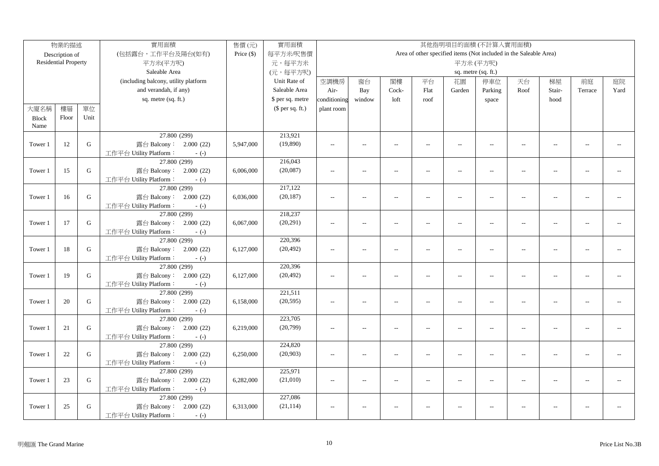|              | 物業的描述                       |           | 實用面積                                             | 售價(元)        | 實用面積             |                |                          |                          |                          |                          | 其他指明項目的面積(不計算入實用面積)                                               |                          |                |                |      |
|--------------|-----------------------------|-----------|--------------------------------------------------|--------------|------------------|----------------|--------------------------|--------------------------|--------------------------|--------------------------|-------------------------------------------------------------------|--------------------------|----------------|----------------|------|
|              | Description of              |           | (包括露台,工作平台及陽台(如有)                                | Price $(\$)$ | 每平方米/呎售價         |                |                          |                          |                          |                          | Area of other specified items (Not included in the Saleable Area) |                          |                |                |      |
|              | <b>Residential Property</b> |           | 平方米(平方呎)                                         |              | 元,每平方米           |                |                          |                          |                          |                          | 平方米(平方呎)                                                          |                          |                |                |      |
|              |                             |           | Saleable Area                                    |              | (元,每平方呎)         |                |                          |                          |                          |                          | sq. metre (sq. ft.)                                               |                          |                |                |      |
|              |                             |           | (including balcony, utility platform             |              | Unit Rate of     | 空調機房           | 窗台                       | 閣樓                       | 平台                       | 花園                       | 停車位                                                               | 天台                       | 梯屋             | 前庭             | 庭院   |
|              |                             |           | and verandah, if any)                            |              | Saleable Area    | Air-           | Bay                      | Cock-                    | Flat                     | Garden                   | Parking                                                           | Roof                     | Stair-         | Terrace        | Yard |
|              |                             |           | sq. metre (sq. ft.)                              |              | \$ per sq. metre | conditioning   | window                   | loft                     | roof                     |                          | space                                                             |                          | hood           |                |      |
| 大廈名稱         | 樓層                          | 單位        |                                                  |              | $$$ per sq. ft.) | plant room     |                          |                          |                          |                          |                                                                   |                          |                |                |      |
| <b>Block</b> | Floor                       | Unit      |                                                  |              |                  |                |                          |                          |                          |                          |                                                                   |                          |                |                |      |
| Name         |                             |           |                                                  |              |                  |                |                          |                          |                          |                          |                                                                   |                          |                |                |      |
|              |                             |           | 27.800 (299)                                     |              | 213,921          |                |                          |                          |                          |                          |                                                                   |                          |                |                |      |
| Tower 1      | 12                          | ${\bf G}$ | 露台 Balcony: 2.000 (22)                           | 5,947,000    | (19, 890)        | $\sim$ $\sim$  | $\overline{a}$           | $\sim$                   | $\overline{a}$           | $\sim$                   | $\sim$                                                            | $\sim$                   | $\sim$         | $\sim$         |      |
|              |                             |           | 工作平台 Utility Platform:<br>$-(-)$                 |              |                  |                |                          |                          |                          |                          |                                                                   |                          |                |                |      |
|              |                             |           | 27.800 (299)                                     |              | 216,043          |                |                          |                          |                          |                          |                                                                   |                          |                |                |      |
| Tower 1      | 15                          | G         | 露台 Balcony: 2.000 (22)                           | 6,006,000    | (20,087)         | $\sim$         | $\overline{\phantom{a}}$ | $\overline{\phantom{a}}$ | $\overline{a}$           | $\overline{\phantom{a}}$ | $\overline{\phantom{m}}$                                          | $\overline{\phantom{a}}$ | $\overline{a}$ | $-$            |      |
|              |                             |           | 工作平台 Utility Platform:<br>$-(-)$                 |              |                  |                |                          |                          |                          |                          |                                                                   |                          |                |                |      |
|              |                             |           | 27.800 (299)                                     |              | 217,122          |                |                          |                          |                          |                          |                                                                   |                          |                |                |      |
| Tower 1      | 16                          | ${\bf G}$ | 露台 Balcony: 2.000 (22)                           | 6,036,000    | (20, 187)        | $\sim$ $\sim$  | $\overline{a}$           | $\sim$                   | $\overline{a}$           | $\overline{a}$           | $\overline{a}$                                                    | $\overline{\phantom{a}}$ | $\overline{a}$ | $\overline{a}$ |      |
|              |                             |           | 工作平台 Utility Platform:<br>$-(-)$                 |              |                  |                |                          |                          |                          |                          |                                                                   |                          |                |                |      |
|              |                             |           | 27.800 (299)                                     |              | 218,237          |                |                          |                          |                          |                          |                                                                   |                          |                |                |      |
| Tower 1      | 17                          | ${\bf G}$ | 露台 Balcony: 2.000 (22)                           | 6,067,000    | (20, 291)        | $\overline{a}$ | $\overline{a}$           | $\sim$                   | $\overline{a}$           | $\overline{\phantom{a}}$ | $\overline{a}$                                                    | $\overline{a}$           | $\overline{a}$ | $\overline{a}$ |      |
|              |                             |           | 工作平台 Utility Platform:<br>$-(-)$                 |              |                  |                |                          |                          |                          |                          |                                                                   |                          |                |                |      |
|              |                             |           | 27.800 (299)                                     |              | 220,396          |                |                          |                          |                          |                          |                                                                   |                          |                |                |      |
| Tower 1      | 18                          | ${\bf G}$ | 露台 Balcony: 2.000 (22)                           | 6,127,000    | (20, 492)        | $\overline{a}$ | $\overline{a}$           | $\overline{\phantom{a}}$ | $\overline{a}$           | $\overline{\phantom{a}}$ | $\overline{\phantom{m}}$                                          | $\overline{a}$           | $\sim$         | $\mathbf{u}$   |      |
|              |                             |           | 工作平台 Utility Platform:<br>$-(-)$                 |              |                  |                |                          |                          |                          |                          |                                                                   |                          |                |                |      |
|              |                             |           | 27.800 (299)                                     |              | 220,396          |                |                          |                          |                          |                          |                                                                   |                          |                |                |      |
| Tower 1      | 19                          | G         | 露台 Balcony: 2.000 (22)                           | 6,127,000    | (20, 492)        | $\overline{a}$ | $\overline{a}$           | $\overline{a}$           | $\overline{\phantom{a}}$ | $\overline{a}$           | $\overline{\phantom{a}}$                                          | $\overline{\phantom{a}}$ | $\overline{a}$ | $\overline{a}$ |      |
|              |                             |           | 工作平台 Utility Platform:<br>$-(-)$                 |              |                  |                |                          |                          |                          |                          |                                                                   |                          |                |                |      |
|              |                             |           | 27.800 (299)                                     |              | 221,511          |                |                          |                          |                          |                          |                                                                   |                          |                |                |      |
| Tower 1      | 20                          | G         | 露台 Balcony: 2.000 (22)                           | 6,158,000    | (20, 595)        | $\overline{a}$ | $\overline{a}$           | $\overline{a}$           | $\overline{a}$           | $\overline{\phantom{a}}$ | $\overline{\phantom{a}}$                                          | $\overline{a}$           | $\sim$         | $\overline{a}$ |      |
|              |                             |           | 工作平台 Utility Platform:<br>$-(-)$<br>27.800 (299) |              | 223,705          |                |                          |                          |                          |                          |                                                                   |                          |                |                |      |
|              |                             | ${\bf G}$ |                                                  |              |                  |                |                          |                          |                          |                          | $\overline{a}$                                                    | $\sim$                   | $\sim$         | $\sim$ $\sim$  |      |
| Tower 1      | 21                          |           | 露台 Balcony: 2.000 (22)<br>工作平台 Utility Platform: | 6,219,000    | (20, 799)        | $\overline{a}$ | $\overline{a}$           | $\sim$                   | $\overline{a}$           | $\overline{\phantom{a}}$ |                                                                   |                          |                |                |      |
|              |                             |           | $-(-)$<br>27.800 (299)                           |              | 224,820          |                |                          |                          |                          |                          |                                                                   |                          |                |                |      |
| Tower 1      | 22                          | G         | 露台 Balcony: 2.000 (22)                           | 6,250,000    | (20,903)         | $\sim$         | $\overline{a}$           | $\overline{\phantom{a}}$ | $\overline{a}$           | $\overline{\phantom{a}}$ | $\overline{a}$                                                    | $\overline{a}$           | $\overline{a}$ | $\overline{a}$ |      |
|              |                             |           | 工作平台 Utility Platform:<br>$-(-)$                 |              |                  |                |                          |                          |                          |                          |                                                                   |                          |                |                |      |
|              |                             |           | 27.800 (299)                                     |              | 225,971          |                |                          |                          |                          |                          |                                                                   |                          |                |                |      |
| Tower 1      | 23                          | G         | 露台 Balcony: 2.000 (22)                           | 6,282,000    | (21,010)         | $\sim$ $\sim$  | $\overline{a}$           | $\sim$                   | $\overline{a}$           | $-$                      | $\overline{a}$                                                    | $\overline{a}$           | $\overline{a}$ | $\overline{a}$ |      |
|              |                             |           | 工作平台 Utility Platform:<br>$-(-)$                 |              |                  |                |                          |                          |                          |                          |                                                                   |                          |                |                |      |
|              |                             |           | 27.800 (299)                                     |              | 227,086          |                |                          |                          |                          |                          |                                                                   |                          |                |                |      |
| Tower 1      | 25                          | G         | 露台 Balcony: 2.000 (22)                           | 6,313,000    | (21, 114)        | $\overline{a}$ | $\overline{a}$           | $\sim$                   |                          | $\overline{\phantom{a}}$ | $\overline{a}$                                                    | $\overline{a}$           | $\overline{a}$ | $\overline{a}$ |      |
|              |                             |           | 工作平台 Utility Platform:<br>$-(-)$                 |              |                  |                |                          |                          |                          |                          |                                                                   |                          |                |                |      |
|              |                             |           |                                                  |              |                  |                |                          |                          |                          |                          |                                                                   |                          |                |                |      |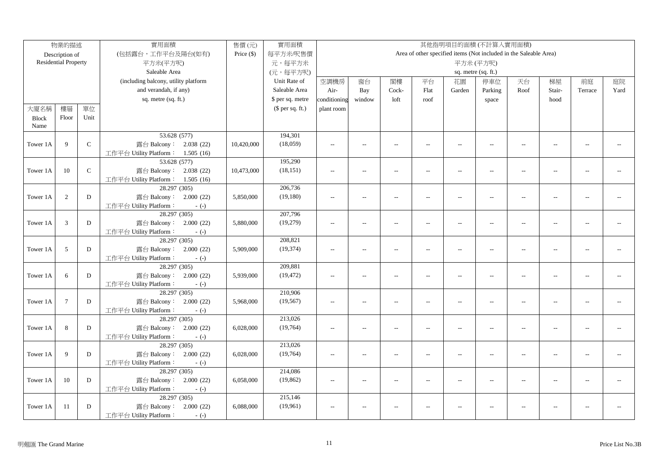|              | 物業的描述                       |               | 實用面積                                             | 售價(元)        | 實用面積             |                     |                          |                          |                |                          | 其他指明項目的面積(不計算入實用面積)                                               |                          |                          |                |      |
|--------------|-----------------------------|---------------|--------------------------------------------------|--------------|------------------|---------------------|--------------------------|--------------------------|----------------|--------------------------|-------------------------------------------------------------------|--------------------------|--------------------------|----------------|------|
|              | Description of              |               | (包括露台,工作平台及陽台(如有)                                | Price $(\$)$ | 每平方米/呎售價         |                     |                          |                          |                |                          | Area of other specified items (Not included in the Saleable Area) |                          |                          |                |      |
|              | <b>Residential Property</b> |               | 平方米(平方呎)                                         |              | 元,每平方米           | 平方米(平方呎)            |                          |                          |                |                          |                                                                   |                          |                          |                |      |
|              |                             |               | Saleable Area                                    |              | (元,每平方呎)         | sq. metre (sq. ft.) |                          |                          |                |                          |                                                                   |                          |                          |                |      |
|              |                             |               | (including balcony, utility platform             |              | Unit Rate of     | 空調機房                | 窗台                       | 閣樓                       | 平台             | 花園                       | 停車位                                                               | 天台                       | 梯屋                       | 前庭             | 庭院   |
|              |                             |               | and verandah, if any)                            |              | Saleable Area    | Air-                | Bay                      | Cock-                    | Flat           | Garden                   | Parking                                                           | Roof                     | Stair-                   | Terrace        | Yard |
|              |                             |               | sq. metre (sq. ft.)                              |              | \$ per sq. metre | conditioning        | window                   | loft                     | roof           |                          | space                                                             |                          | hood                     |                |      |
| 大廈名稱         | 樓層                          | 單位            |                                                  |              | (\$ per sq. ft.) | plant room          |                          |                          |                |                          |                                                                   |                          |                          |                |      |
| <b>Block</b> | Floor                       | Unit          |                                                  |              |                  |                     |                          |                          |                |                          |                                                                   |                          |                          |                |      |
| Name         |                             |               |                                                  |              |                  |                     |                          |                          |                |                          |                                                                   |                          |                          |                |      |
|              |                             |               | 53.628 (577)                                     |              | 194,301          |                     |                          |                          |                |                          |                                                                   |                          |                          |                |      |
| Tower 1A     | 9                           | $\mathcal{C}$ | 露台 Balcony: 2.038 (22)                           | 10,420,000   | (18,059)         | $\sim$ $\sim$       | $\overline{a}$           | $\overline{\phantom{a}}$ | $\sim$         | $\sim$                   | $\sim$                                                            | $\sim$                   | $\sim$                   | $\overline{a}$ |      |
|              |                             |               | 工作平台 Utility Platform: 1.505 (16)                |              |                  |                     |                          |                          |                |                          |                                                                   |                          |                          |                |      |
|              |                             |               | 53.628 (577)                                     |              | 195,290          |                     |                          |                          |                |                          |                                                                   |                          |                          |                |      |
| Tower 1A     | 10                          | $\mathbf C$   | 露台 Balcony: 2.038 (22)                           | 10,473,000   | (18, 151)        | $\overline{a}$      | $\overline{a}$           | $\sim$                   | $\sim$         | $\overline{a}$           | $\overline{a}$                                                    | $\sim$                   | $\sim$                   | $\overline{a}$ |      |
|              |                             |               | 工作平台 Utility Platform: 1.505 (16)                |              |                  |                     |                          |                          |                |                          |                                                                   |                          |                          |                |      |
|              |                             |               | 28.297 (305)                                     |              | 206,736          |                     |                          |                          |                |                          |                                                                   |                          |                          |                |      |
| Tower 1A     | 2                           | D             | 露台 Balcony: 2.000 (22)                           | 5,850,000    | (19, 180)        | $\sim$ $\sim$       | $\sim$                   | $\sim$                   | $\sim$         | $\overline{a}$           | $\sim$                                                            | $\sim$                   | $\sim$                   |                |      |
|              |                             |               | 工作平台 Utility Platform:<br>$-(-)$                 |              |                  |                     |                          |                          |                |                          |                                                                   |                          |                          |                |      |
|              |                             |               | 28.297 (305)                                     |              | 207,796          |                     |                          |                          |                |                          |                                                                   |                          |                          |                |      |
| Tower 1A     | 3                           | D             | 露台 Balcony: 2.000 (22)                           | 5,880,000    | (19,279)         | $\overline{a}$      | $\overline{a}$           | $\sim$                   | $\overline{a}$ | $\overline{a}$           | $\sim$ $\sim$                                                     | $\sim$                   | $\sim$                   | $\overline{a}$ |      |
|              |                             |               | 工作平台 Utility Platform:<br>$-(-)$                 |              |                  |                     |                          |                          |                |                          |                                                                   |                          |                          |                |      |
|              |                             |               | 28.297 (305)                                     |              | 208,821          |                     |                          |                          |                |                          |                                                                   |                          |                          |                |      |
| Tower 1A     | $5\,$                       | D             | 露台 Balcony: 2.000 (22)                           | 5,909,000    | (19, 374)        | $\overline{a}$      | $\overline{a}$           | $\overline{a}$           | $\overline{a}$ | $\overline{\phantom{a}}$ | $\overline{\phantom{a}}$                                          | $\overline{\phantom{a}}$ | $\overline{a}$           | $\overline{a}$ |      |
|              |                             |               | 工作平台 Utility Platform:<br>$-(-)$                 |              |                  |                     |                          |                          |                |                          |                                                                   |                          |                          |                |      |
|              |                             |               | 28.297 (305)                                     |              | 209,881          |                     |                          |                          |                |                          |                                                                   |                          |                          |                |      |
| Tower 1A     | 6                           | D             | 露台 Balcony: 2.000 (22)                           | 5,939,000    | (19, 472)        | $\overline{a}$      | $\overline{a}$           | $\sim$                   | $\sim$         | $\overline{a}$           | $\overline{a}$                                                    | $\sim$                   | $\sim$                   | $\sim$ $\sim$  |      |
|              |                             |               | 工作平台 Utility Platform:<br>$-(-)$                 |              |                  |                     |                          |                          |                |                          |                                                                   |                          |                          |                |      |
|              |                             |               | 28.297 (305)                                     |              | 210,906          |                     |                          |                          |                |                          |                                                                   |                          |                          |                |      |
| Tower 1A     | $7\phantom{.0}$             | D             | 露台 Balcony: 2.000 (22)                           | 5,968,000    | (19, 567)        | $\overline{a}$      | $\overline{a}$           | $\overline{a}$           | $\overline{a}$ | $\overline{a}$           | $\overline{\phantom{a}}$                                          | $\overline{\phantom{a}}$ | $\overline{a}$           | $\overline{a}$ |      |
|              |                             |               | 工作平台 Utility Platform:<br>$-(-)$<br>28.297 (305) |              | 213,026          |                     |                          |                          |                |                          |                                                                   |                          |                          |                |      |
|              | 8                           | D             |                                                  |              |                  |                     |                          |                          |                |                          |                                                                   |                          |                          |                |      |
| Tower 1A     |                             |               | 露台 Balcony: 2.000 (22)<br>工作平台 Utility Platform: | 6,028,000    | (19,764)         | $\sim$              | $\overline{\phantom{a}}$ | $\overline{\phantom{a}}$ | $\overline{a}$ | $\overline{a}$           | $\overline{\phantom{a}}$                                          | $\overline{\phantom{a}}$ | $\overline{\phantom{a}}$ | $-1$           |      |
|              |                             |               | $-(-)$<br>28.297 (305)                           |              | 213,026          |                     |                          |                          |                |                          |                                                                   |                          |                          |                |      |
| Tower 1A     | 9                           | D             | 露台 Balcony: 2.000 (22)                           | 6,028,000    | (19,764)         | $\overline{a}$      | $\overline{a}$           | $\overline{\phantom{a}}$ | $\overline{a}$ | $\overline{\phantom{a}}$ | $\overline{a}$                                                    | $\overline{\phantom{a}}$ | $\sim$                   | $\overline{a}$ |      |
|              |                             |               | 工作平台 Utility Platform:<br>$-(-)$                 |              |                  |                     |                          |                          |                |                          |                                                                   |                          |                          |                |      |
|              |                             |               | 28.297 (305)                                     |              | 214,086          |                     |                          |                          |                |                          |                                                                   |                          |                          |                |      |
| Tower 1A     | 10                          | D             | 露台 Balcony: 2.000 (22)                           | 6,058,000    | (19, 862)        | $\sim$ $\sim$       | $\overline{a}$           | $\sim$                   | $\overline{a}$ | $\overline{a}$           | $\overline{a}$                                                    | $\sim$                   | $\overline{a}$           | $\overline{a}$ |      |
|              |                             |               | 工作平台 Utility Platform:<br>$-(-)$                 |              |                  |                     |                          |                          |                |                          |                                                                   |                          |                          |                |      |
|              |                             |               | 28.297 (305)                                     |              | 215,146          |                     |                          |                          |                |                          |                                                                   |                          |                          |                |      |
| Tower 1A     | 11                          | D             | 露台 Balcony: 2.000 (22)                           | 6,088,000    | (19,961)         | $\sim$ $\sim$       | $\overline{a}$           | $\sim$                   |                | $\overline{a}$           | $\sim$ $\sim$                                                     | $\overline{a}$           | $\overline{a}$           | $\overline{a}$ |      |
|              |                             |               |                                                  |              |                  |                     |                          |                          |                |                          |                                                                   |                          |                          |                |      |
|              |                             |               | 工作平台 Utility Platform:<br>$-(-)$                 |              |                  |                     |                          |                          |                |                          |                                                                   |                          |                          |                |      |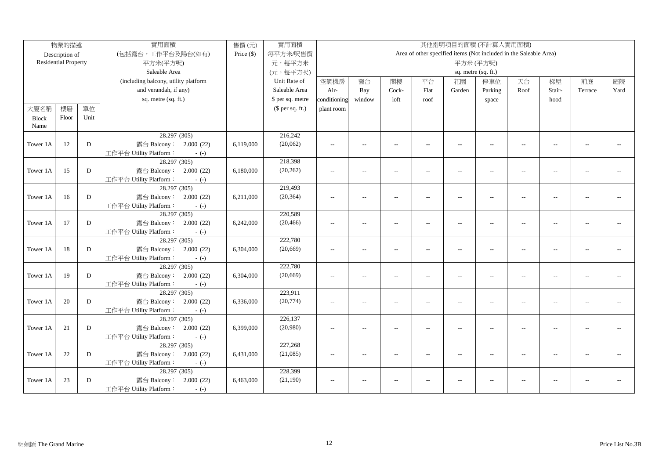|              | 物業的描述                       |           | 實用面積                                             | 售價(元)        | 實用面積             |                          |                                                                   |                          |                |                          | 其他指明項目的面積(不計算入實用面積)      |                          |                          |                          |      |
|--------------|-----------------------------|-----------|--------------------------------------------------|--------------|------------------|--------------------------|-------------------------------------------------------------------|--------------------------|----------------|--------------------------|--------------------------|--------------------------|--------------------------|--------------------------|------|
|              | Description of              |           | (包括露台,工作平台及陽台(如有)                                | Price $(\$)$ | 每平方米/呎售價         |                          | Area of other specified items (Not included in the Saleable Area) |                          |                |                          |                          |                          |                          |                          |      |
|              | <b>Residential Property</b> |           | 平方米(平方呎)                                         |              | 元,每平方米           |                          | 平方米(平方呎)                                                          |                          |                |                          |                          |                          |                          |                          |      |
|              |                             |           | Saleable Area                                    |              | (元,每平方呎)         | sq. metre (sq. ft.)      |                                                                   |                          |                |                          |                          |                          |                          |                          |      |
|              |                             |           | (including balcony, utility platform             |              | Unit Rate of     | 空調機房                     | 窗台                                                                | 閣樓                       | 平台             | 花園                       | 停車位                      | 天台                       | 梯屋                       | 前庭                       | 庭院   |
|              |                             |           | and verandah, if any)                            |              | Saleable Area    | Air-                     | Bay                                                               | Cock-                    | Flat           | Garden                   | Parking                  | Roof                     | Stair-                   | Terrace                  | Yard |
|              |                             |           | sq. metre (sq. ft.)                              |              | \$ per sq. metre | conditioning             | window                                                            | loft                     | roof           |                          | space                    |                          | hood                     |                          |      |
| 大廈名稱         | 樓層                          | 單位        |                                                  |              | $$$ per sq. ft.) | plant room               |                                                                   |                          |                |                          |                          |                          |                          |                          |      |
| <b>Block</b> | Floor                       | Unit      |                                                  |              |                  |                          |                                                                   |                          |                |                          |                          |                          |                          |                          |      |
| Name         |                             |           |                                                  |              |                  |                          |                                                                   |                          |                |                          |                          |                          |                          |                          |      |
|              |                             |           | 28.297 (305)                                     |              | 216,242          |                          |                                                                   |                          |                |                          |                          |                          |                          |                          |      |
| Tower 1A     | 12                          | D         | 露台 Balcony: 2.000 (22)                           | 6,119,000    | (20,062)         | $\overline{a}$           | $\overline{a}$                                                    | $\overline{a}$           | $\overline{a}$ | --                       | $\overline{a}$           | $\overline{\phantom{a}}$ | $\overline{a}$           | $\overline{a}$           |      |
|              |                             |           | 工作平台 Utility Platform:<br>$-(-)$                 |              |                  |                          |                                                                   |                          |                |                          |                          |                          |                          |                          |      |
|              |                             |           | 28.297 (305)                                     |              | 218,398          |                          |                                                                   |                          |                |                          |                          |                          |                          |                          |      |
| Tower 1A     | 15                          | D         | 露台 Balcony: 2.000 (22)                           | 6,180,000    | (20, 262)        | $\overline{a}$           | $\qquad \qquad -$                                                 | $\sim$                   | $\overline{a}$ | $\overline{\phantom{a}}$ | $\overline{\phantom{a}}$ | $\overline{a}$           | $\overline{a}$           | $\overline{a}$           |      |
|              |                             |           | 工作平台 Utility Platform:<br>$-(-)$                 |              |                  |                          |                                                                   |                          |                |                          |                          |                          |                          |                          |      |
|              |                             |           | 28.297 (305)                                     |              | 219,493          |                          |                                                                   |                          |                |                          |                          |                          |                          |                          |      |
| Tower 1A     | 16                          | D         | 露台 Balcony: 2.000 (22)                           | 6,211,000    | (20, 364)        | $\overline{a}$           | $\qquad \qquad -$                                                 | $\overline{\phantom{a}}$ | $\overline{a}$ | $\overline{a}$           | $\overline{\phantom{a}}$ | $\overline{\phantom{a}}$ | $\overline{\phantom{a}}$ | $-$                      |      |
|              |                             |           | 工作平台 Utility Platform:<br>$-(-)$                 |              |                  |                          |                                                                   |                          |                |                          |                          |                          |                          |                          |      |
|              |                             |           | 28.297 (305)                                     |              | 220,589          |                          |                                                                   |                          |                |                          |                          |                          |                          |                          |      |
| Tower 1A     | 17                          | D         | 露台 Balcony: 2.000 (22)                           | 6,242,000    | (20, 466)        | $-$                      | $\overline{a}$                                                    | $\sim$                   | $\overline{a}$ | $\overline{a}$           | $\overline{a}$           | $\sim$                   | $\overline{a}$           |                          |      |
|              |                             |           | 工作平台 Utility Platform:<br>$-(-)$                 |              |                  |                          |                                                                   |                          |                |                          |                          |                          |                          |                          |      |
|              |                             |           | 28.297 (305)                                     |              | 222,780          |                          |                                                                   |                          |                |                          |                          |                          |                          |                          |      |
| Tower 1A     | 18                          | ${\bf D}$ | 露台 Balcony: 2.000 (22)                           | 6,304,000    | (20, 669)        | $\sim$ $\sim$            | $\sim$                                                            | $\sim$                   | $\overline{a}$ | $\overline{a}$           | $\sim$                   | $\overline{\phantom{a}}$ | $\sim$ $\sim$            | $\sim$                   |      |
|              |                             |           | 工作平台 Utility Platform:<br>$-(-)$<br>28.297 (305) |              | 222,780          |                          |                                                                   |                          |                |                          |                          |                          |                          |                          |      |
| Tower 1A     | 19                          | D         | 露台 Balcony: 2.000 (22)                           | 6,304,000    | (20, 669)        | $\sim$ $\sim$            | $\sim$                                                            | $\overline{\phantom{a}}$ | $\sim$         | $\sim$                   | $\sim$                   | $\overline{\phantom{a}}$ | $\sim$                   | $\overline{a}$           |      |
|              |                             |           | 工作平台 Utility Platform:<br>$-(-)$                 |              |                  |                          |                                                                   |                          |                |                          |                          |                          |                          |                          |      |
|              |                             |           | 28.297 (305)                                     |              | 223,911          |                          |                                                                   |                          |                |                          |                          |                          |                          |                          |      |
| Tower 1A     | 20                          | D         | 露台 Balcony: 2.000 (22)                           | 6,336,000    | (20, 774)        | $\overline{\phantom{a}}$ | $\overline{a}$                                                    | $\overline{\phantom{a}}$ | $\overline{a}$ | $\overline{\phantom{a}}$ | $\overline{a}$           | $\overline{\phantom{a}}$ | $\overline{a}$           | $\overline{\phantom{a}}$ |      |
|              |                             |           | 工作平台 Utility Platform:<br>$-(-)$                 |              |                  |                          |                                                                   |                          |                |                          |                          |                          |                          |                          |      |
|              |                             |           | 28.297 (305)                                     |              | 226,137          |                          |                                                                   |                          |                |                          |                          |                          |                          |                          |      |
| Tower 1A     | 21                          | D         | 露台 Balcony: 2.000 (22)                           | 6,399,000    | (20,980)         | $\overline{\phantom{a}}$ | $\overline{a}$                                                    | $\overline{\phantom{a}}$ |                | --                       | $\overline{a}$           | $\overline{a}$           | $\overline{a}$           | $\overline{a}$           |      |
|              |                             |           | 工作平台 Utility Platform:<br>$-(-)$                 |              |                  |                          |                                                                   |                          |                |                          |                          |                          |                          |                          |      |
|              |                             |           | 28.297 (305)                                     |              | 227,268          |                          |                                                                   |                          |                |                          |                          |                          |                          |                          |      |
| Tower 1A     | 22                          | D         | 露台 Balcony: 2.000 (22)                           | 6,431,000    | (21,085)         | $\sim$ $\sim$            | $\overline{a}$                                                    | $\sim$                   | $\overline{a}$ | $\overline{a}$           | $\overline{a}$           | $\overline{\phantom{a}}$ | $\overline{a}$           | $\overline{a}$           |      |
|              |                             |           | 工作平台 Utility Platform:<br>$-(-)$                 |              |                  |                          |                                                                   |                          |                |                          |                          |                          |                          |                          |      |
|              |                             |           | 28.297 (305)                                     |              | 228,399          |                          |                                                                   |                          |                |                          |                          |                          |                          |                          |      |
| Tower 1A     | 23                          | D         | 露台 Balcony:<br>2.000(22)                         | 6,463,000    | (21, 190)        | $\sim$ $\sim$            | $\overline{\phantom{a}}$                                          | $\sim$                   |                | $-$                      | $\overline{\phantom{a}}$ | $\overline{\phantom{a}}$ |                          |                          |      |
|              |                             |           | 工作平台 Utility Platform:<br>$-(-)$                 |              |                  |                          |                                                                   |                          |                |                          |                          |                          |                          |                          |      |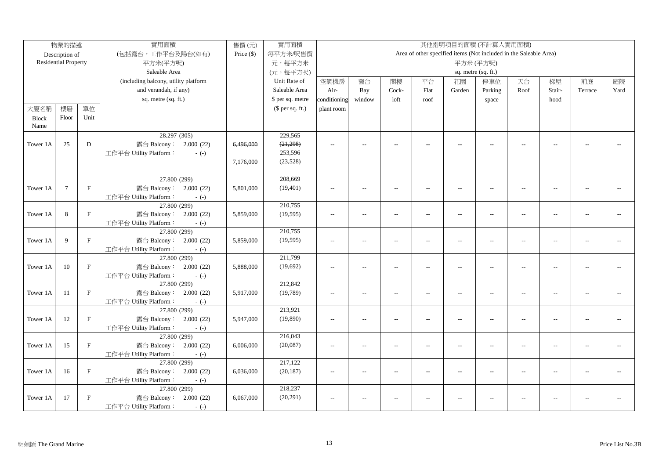|              | 物業的描述                       |              | 實用面積                                             | 售價(元)        | 實用面積             |                          |                          |                          |                |                          | 其他指明項目的面積(不計算入實用面積)                                               |                |                          |                             |      |
|--------------|-----------------------------|--------------|--------------------------------------------------|--------------|------------------|--------------------------|--------------------------|--------------------------|----------------|--------------------------|-------------------------------------------------------------------|----------------|--------------------------|-----------------------------|------|
|              | Description of              |              | (包括露台,工作平台及陽台(如有)                                | Price $(\$)$ | 每平方米/呎售價         |                          |                          |                          |                |                          | Area of other specified items (Not included in the Saleable Area) |                |                          |                             |      |
|              | <b>Residential Property</b> |              | 平方米(平方呎)                                         |              | 元,每平方米           |                          |                          |                          |                |                          | 平方米(平方呎)                                                          |                |                          |                             |      |
|              |                             |              | Saleable Area                                    |              | (元,每平方呎)         | sq. metre (sq. ft.)      |                          |                          |                |                          |                                                                   |                |                          |                             |      |
|              |                             |              | (including balcony, utility platform             |              | Unit Rate of     | 空調機房                     | 窗台                       | 閣樓                       | 平台             | 花園                       | 停車位                                                               | 天台             | 梯屋                       | 前庭                          | 庭院   |
|              |                             |              | and verandah, if any)                            |              | Saleable Area    | Air-                     | Bay                      | Cock-                    | Flat           | Garden                   | Parking                                                           | Roof           | Stair-                   | Terrace                     | Yard |
|              |                             |              | sq. metre (sq. ft.)                              |              | \$ per sq. metre | conditioning             | window                   | loft                     | roof           |                          | space                                                             |                | hood                     |                             |      |
| 大廈名稱         | 樓層                          | 單位           |                                                  |              | $$$ per sq. ft.) | plant room               |                          |                          |                |                          |                                                                   |                |                          |                             |      |
| <b>Block</b> | Floor                       | Unit         |                                                  |              |                  |                          |                          |                          |                |                          |                                                                   |                |                          |                             |      |
| Name         |                             |              |                                                  |              |                  |                          |                          |                          |                |                          |                                                                   |                |                          |                             |      |
|              |                             |              | 28.297 (305)                                     |              | 229,565          |                          |                          |                          |                |                          |                                                                   |                |                          |                             |      |
| Tower 1A     | 25                          | D            | 露台 Balcony: 2.000 (22)                           | 6,496,000    | (21, 298)        | $\sim$                   | $-$                      | $\overline{a}$           | $\overline{a}$ | $\overline{a}$           | $\overline{a}$                                                    | $\overline{a}$ |                          |                             |      |
|              |                             |              | 工作平台 Utility Platform:<br>$-(-)$                 |              | 253,596          |                          |                          |                          |                |                          |                                                                   |                |                          |                             |      |
|              |                             |              |                                                  | 7,176,000    | (23, 528)        |                          |                          |                          |                |                          |                                                                   |                |                          |                             |      |
|              |                             |              |                                                  |              |                  |                          |                          |                          |                |                          |                                                                   |                |                          |                             |      |
|              |                             |              | 27.800 (299)                                     |              | 208,669          |                          |                          |                          |                |                          |                                                                   |                |                          |                             |      |
| Tower 1A     | $7\phantom{.0}$             | $\mathbf{F}$ | 露台 Balcony: 2.000 (22)                           | 5,801,000    | (19, 401)        | $\overline{a}$           | $\overline{a}$           |                          | $\overline{a}$ | $\overline{\phantom{a}}$ | $\overline{a}$                                                    | $\overline{a}$ |                          | $\overline{a}$              |      |
|              |                             |              | 工作平台 Utility Platform:<br>$-(-)$                 |              |                  |                          |                          |                          |                |                          |                                                                   |                |                          |                             |      |
|              |                             |              | 27.800 (299)                                     |              | 210,755          |                          |                          |                          |                |                          |                                                                   |                |                          |                             |      |
| Tower 1A     | 8                           | $\mathbf{F}$ | 露台 Balcony: 2.000 (22)                           | 5,859,000    | (19, 595)        | $\sim$                   | $\overline{\phantom{a}}$ | $\overline{\phantom{a}}$ | $\overline{a}$ | $\sim$                   | $\overline{\phantom{a}}$                                          | $\sim$         | $\overline{\phantom{a}}$ | $\mathcal{L}_{\mathcal{A}}$ |      |
|              |                             |              | 工作平台 Utility Platform:<br>$-(-)$<br>27.800 (299) |              | 210,755          |                          |                          |                          |                |                          |                                                                   |                |                          |                             |      |
| Tower 1A     | 9                           | $\mathbf{F}$ | 露台 Balcony: 2.000 (22)                           | 5,859,000    | (19, 595)        |                          | $\overline{a}$           | $\overline{a}$           |                |                          | $\overline{a}$                                                    | $\sim$         | $\overline{a}$           | $\overline{a}$              |      |
|              |                             |              | 工作平台 Utility Platform:<br>$-(-)$                 |              |                  | $\overline{\phantom{a}}$ |                          |                          | $\overline{a}$ | $\overline{\phantom{a}}$ |                                                                   |                |                          |                             |      |
|              |                             |              | 27.800 (299)                                     |              | 211,799          |                          |                          |                          |                |                          |                                                                   |                |                          |                             |      |
| Tower 1A     | 10                          | $\mathbf F$  | 露台 Balcony: 2.000 (22)                           | 5,888,000    | (19,692)         | $-$                      | $\overline{a}$           | $\sim$                   | $\overline{a}$ | $\sim$                   | $\sim$ $\sim$                                                     | $ -$           | $\overline{a}$           | $-1$                        |      |
|              |                             |              | 工作平台 Utility Platform:<br>$-(-)$                 |              |                  |                          |                          |                          |                |                          |                                                                   |                |                          |                             |      |
|              |                             |              | 27.800 (299)                                     |              | 212,842          |                          |                          |                          |                |                          |                                                                   |                |                          |                             |      |
| Tower 1A     | 11                          | $\mathbf{F}$ | 露台 Balcony: 2.000 (22)                           | 5,917,000    | (19,789)         | $\sim$                   | $\overline{a}$           | $\sim$                   | $\overline{a}$ | $\overline{a}$           | $\overline{a}$                                                    | $\sim$         | $\overline{a}$           | $\sim$ $\sim$               |      |
|              |                             |              | 工作平台 Utility Platform:<br>$-(-)$                 |              |                  |                          |                          |                          |                |                          |                                                                   |                |                          |                             |      |
|              |                             |              | 27.800 (299)                                     |              | 213,921          |                          |                          |                          |                |                          |                                                                   |                |                          |                             |      |
| Tower 1A     | 12                          | $\mathbf F$  | 露台 Balcony: 2.000 (22)                           | 5,947,000    | (19,890)         | $\sim$                   | $\overline{a}$           | $\overline{a}$           | $\overline{a}$ | $\overline{\phantom{a}}$ | $\overline{a}$                                                    | $\sim$         | $\sim$                   | $\sim$ $\sim$               |      |
|              |                             |              | 工作平台 Utility Platform:<br>$-(-)$                 |              |                  |                          |                          |                          |                |                          |                                                                   |                |                          |                             |      |
|              |                             |              | 27.800 (299)                                     |              | 216,043          |                          |                          |                          |                |                          |                                                                   |                |                          |                             |      |
| Tower 1A     | 15                          | $\mathbf{F}$ | 露台 Balcony: 2.000 (22)                           | 6,006,000    | (20,087)         | $\overline{a}$           | $\overline{a}$           | $\overline{a}$           | $\overline{a}$ | $\overline{\phantom{a}}$ | $\overline{a}$                                                    | $\sim$         | $\overline{a}$           | $\mathbf{u}$                |      |
|              |                             |              | 工作平台 Utility Platform:<br>$-(-)$                 |              |                  |                          |                          |                          |                |                          |                                                                   |                |                          |                             |      |
|              |                             |              | 27.800 (299)                                     |              | 217,122          |                          |                          |                          |                |                          |                                                                   |                |                          |                             |      |
| Tower 1A     | 16                          | $\mathbf{F}$ | 露台 Balcony: 2.000 (22)                           | 6,036,000    | (20, 187)        | $\sim$                   | $\overline{\phantom{a}}$ | $\overline{a}$           | $\overline{a}$ | $\sim$                   | $\overline{a}$                                                    | $\sim$         | $\sim$                   | $\sim$                      |      |
|              |                             |              | 工作平台 Utility Platform:<br>$-(-)$                 |              |                  |                          |                          |                          |                |                          |                                                                   |                |                          |                             |      |
|              |                             |              | 27.800 (299)                                     |              | 218,237          |                          |                          |                          |                |                          |                                                                   |                |                          |                             |      |
| Tower 1A     | 17                          | $\mathbf{F}$ | 露台 Balcony: 2.000 (22)                           | 6,067,000    | (20, 291)        | $\overline{\phantom{a}}$ | $\overline{\phantom{a}}$ | $\overline{\phantom{a}}$ | $\overline{a}$ | $\overline{a}$           | $\overline{a}$                                                    | $\overline{a}$ |                          |                             |      |
|              |                             |              | 工作平台 Utility Platform:<br>$-(-)$                 |              |                  |                          |                          |                          |                |                          |                                                                   |                |                          |                             |      |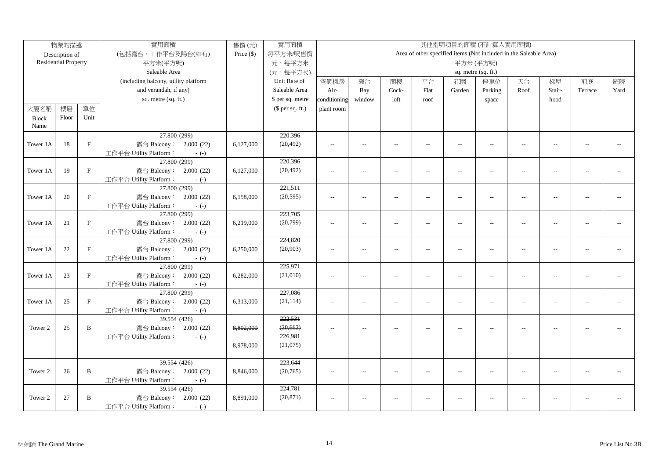|              | 物業的描述                       |              | 實用面積                                                       | 售價(元)        | 實用面積             |                          |                          |                          |                          |                          | 其他指明項目的面積(不計算入實用面積)                                               |                          |                          |                |      |
|--------------|-----------------------------|--------------|------------------------------------------------------------|--------------|------------------|--------------------------|--------------------------|--------------------------|--------------------------|--------------------------|-------------------------------------------------------------------|--------------------------|--------------------------|----------------|------|
|              | Description of              |              | (包括露台,工作平台及陽台(如有)                                          | Price $(\$)$ | 每平方米/呎售價         |                          |                          |                          |                          |                          | Area of other specified items (Not included in the Saleable Area) |                          |                          |                |      |
|              | <b>Residential Property</b> |              | 平方米(平方呎)                                                   |              | 元,每平方米           |                          |                          |                          |                          |                          | 平方米(平方呎)                                                          |                          |                          |                |      |
|              |                             |              | Saleable Area                                              |              | (元,每平方呎)         | sq. metre (sq. ft.)      |                          |                          |                          |                          |                                                                   |                          |                          |                |      |
|              |                             |              | (including balcony, utility platform                       |              | Unit Rate of     | 空調機房                     | 窗台                       | 閣樓                       | 平台                       | 花園                       | 停車位                                                               | 天台                       | 梯屋                       | 前庭             | 庭院   |
|              |                             |              | and verandah, if any)                                      |              | Saleable Area    | Air-                     | Bay                      | Cock-                    | Flat                     | Garden                   | Parking                                                           | Roof                     | Stair-                   | Terrace        | Yard |
|              |                             |              | sq. metre (sq. ft.)                                        |              | \$ per sq. metre | conditioning             | window                   | loft                     | roof                     |                          | space                                                             |                          | hood                     |                |      |
| 大廈名稱         | 樓層                          | 單位           |                                                            |              | $$$ per sq. ft.) | plant room               |                          |                          |                          |                          |                                                                   |                          |                          |                |      |
| <b>Block</b> | Floor                       | Unit         |                                                            |              |                  |                          |                          |                          |                          |                          |                                                                   |                          |                          |                |      |
| Name         |                             |              |                                                            |              |                  |                          |                          |                          |                          |                          |                                                                   |                          |                          |                |      |
|              |                             |              | 27.800 (299)                                               |              | 220,396          |                          |                          |                          |                          |                          |                                                                   |                          |                          |                |      |
| Tower 1A     | 18                          | $\mathbf F$  | 露台 Balcony: 2.000 (22)                                     | 6,127,000    | (20, 492)        | $\overline{a}$           | $\overline{a}$           | $\sim$                   | $\overline{a}$           | $\overline{a}$           | $\overline{\phantom{m}}$                                          | $\sim$                   | $\sim$ $\sim$            | $\sim$         |      |
|              |                             |              | 工作平台 Utility Platform:<br>$-(-)$                           |              |                  |                          |                          |                          |                          |                          |                                                                   |                          |                          |                |      |
|              |                             |              | 27.800 (299)                                               |              | 220,396          |                          |                          |                          |                          |                          |                                                                   |                          |                          |                |      |
| Tower 1A     | 19                          | $\mathbf{F}$ | 露台 Balcony: 2.000 (22)                                     | 6,127,000    | (20, 492)        | $\sim$ $\sim$            | $\overline{a}$           | $\sim$                   | $\overline{a}$           | $\overline{a}$           | $\overline{a}$                                                    | $\sim$                   | $\sim$ $\sim$            | $-$            |      |
|              |                             |              | 工作平台 Utility Platform:<br>$-(-)$                           |              |                  |                          |                          |                          |                          |                          |                                                                   |                          |                          |                |      |
|              |                             |              | 27.800 (299)                                               |              | 221,511          |                          |                          |                          |                          |                          |                                                                   |                          |                          |                |      |
| Tower 1A     | 20                          | $\mathbf{F}$ | 露台 Balcony: 2.000 (22)                                     | 6,158,000    | (20, 595)        | $\overline{\phantom{a}}$ | $\qquad \qquad -$        | $\overline{\phantom{a}}$ | $\overline{a}$           | $\overline{\phantom{a}}$ | $\overline{\phantom{a}}$                                          | $\overline{\phantom{a}}$ | $\overline{\phantom{a}}$ | $-$            |      |
|              |                             |              | 工作平台 Utility Platform:<br>$-(-)$                           |              |                  |                          |                          |                          |                          |                          |                                                                   |                          |                          |                |      |
|              |                             |              | 27.800 (299)                                               |              | 223,705          |                          |                          |                          |                          |                          |                                                                   |                          |                          |                |      |
| Tower 1A     | 21                          | $\mathbf{F}$ | 露台 Balcony: 2.000 (22)                                     | 6,219,000    | (20,799)         | $\overline{a}$           | $\overline{a}$           | $\sim$                   | $\overline{a}$           | $\overline{a}$           | $\sim$                                                            | $\overline{a}$           | $\sim$                   |                |      |
|              |                             |              | 工作平台 Utility Platform:<br>$-(-)$                           |              |                  |                          |                          |                          |                          |                          |                                                                   |                          |                          |                |      |
|              |                             |              | 27.800 (299)                                               |              | 224,820          |                          |                          |                          |                          |                          |                                                                   |                          |                          |                |      |
| Tower 1A     | 22                          | $\mathbf F$  | 露台 Balcony: 2.000 (22)                                     | 6,250,000    | (20, 903)        | $\overline{a}$           | $\overline{a}$           | $\overline{a}$           | $\overline{\phantom{a}}$ | $\overline{\phantom{a}}$ | $\overline{a}$                                                    | $\overline{\phantom{a}}$ | $\overline{a}$           | $\overline{a}$ |      |
|              |                             |              | 工作平台 Utility Platform:<br>$-(-)$                           |              |                  |                          |                          |                          |                          |                          |                                                                   |                          |                          |                |      |
|              |                             |              | 27.800 (299)                                               |              | 225,971          |                          |                          |                          |                          |                          |                                                                   |                          |                          |                |      |
| Tower 1A     | 23                          | $\mathbf{F}$ | 露台 Balcony: 2.000 (22)                                     | 6,282,000    | (21,010)         | $\overline{a}$           | $\overline{\phantom{a}}$ | $\overline{a}$           | $\overline{a}$           | $\overline{a}$           | $\sim$                                                            | $\overline{a}$           | $\overline{a}$           | $\sim$         |      |
|              |                             |              | 工作平台 Utility Platform:<br>$-(-)$                           |              |                  |                          |                          |                          |                          |                          |                                                                   |                          |                          |                |      |
|              |                             |              | 27.800 (299)                                               |              | 227,086          |                          |                          |                          |                          |                          |                                                                   |                          |                          |                |      |
| Tower 1A     | 25                          | $\mathbf{F}$ | 露台 Balcony: 2.000 (22)                                     | 6,313,000    | (21, 114)        | $\sim$ $\sim$            | $\frac{1}{2}$            | $\sim$                   | $\overline{a}$           | $\overline{a}$           | $\overline{a}$                                                    | $\sim$                   | $\overline{a}$           | $\overline{a}$ |      |
|              |                             |              | 工作平台 Utility Platform:<br>$-(-)$<br>39.554 (426)           |              | 222,531          |                          |                          |                          |                          |                          |                                                                   |                          |                          |                |      |
| Tower 2      | 25                          | $\mathbf B$  |                                                            |              | (20, 662)        |                          |                          | $\sim$                   |                          |                          |                                                                   | $\sim$                   |                          |                |      |
|              |                             |              | 露台 Balcony: 2.000 (22)<br>工作平台 Utility Platform:<br>$-(-)$ | 8,802,000    | 226,981          | $\overline{\phantom{a}}$ | $\overline{a}$           |                          |                          | $\overline{a}$           |                                                                   |                          |                          |                |      |
|              |                             |              |                                                            | 8,978,000    | (21,075)         |                          |                          |                          |                          |                          |                                                                   |                          |                          |                |      |
|              |                             |              |                                                            |              |                  |                          |                          |                          |                          |                          |                                                                   |                          |                          |                |      |
|              |                             |              | 39.554 (426)                                               |              | 223,644          |                          |                          |                          |                          |                          |                                                                   |                          |                          |                |      |
| Tower 2      | 26                          | B            | 露台 Balcony: 2.000 (22)                                     | 8,846,000    | (20, 765)        | $\sim$ $\sim$            | $\sim$                   | $\sim$                   | $\overline{a}$           | $\sim$                   | $\overline{a}$                                                    | $\sim$                   | $\sim$                   | $\sim$         |      |
|              |                             |              | 工作平台 Utility Platform:<br>$-(-)$                           |              |                  |                          |                          |                          |                          |                          |                                                                   |                          |                          |                |      |
|              |                             |              | 39.554 (426)                                               |              | 224,781          |                          |                          |                          |                          |                          |                                                                   |                          |                          |                |      |
| Tower 2      | 27                          | B            | 露台 Balcony: 2.000 (22)                                     | 8,891,000    | (20, 871)        | $\overline{\phantom{a}}$ | $\overline{a}$           | $\overline{a}$           | $\overline{a}$           | --                       | $\overline{a}$                                                    | $\overline{\phantom{a}}$ | $\overline{a}$           |                |      |
|              |                             |              | 工作平台 Utility Platform:<br>$-(-)$                           |              |                  |                          |                          |                          |                          |                          |                                                                   |                          |                          |                |      |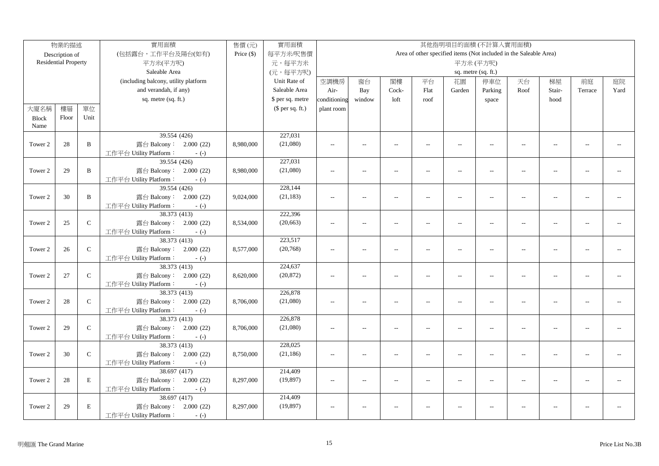|              | 物業的描述                       |               | 實用面積                                             | 售價(元)        | 實用面積             |                                                                   |                          |                          |                          |                          | 其他指明項目的面積(不計算入實用面積)      |                          |                          |                |      |
|--------------|-----------------------------|---------------|--------------------------------------------------|--------------|------------------|-------------------------------------------------------------------|--------------------------|--------------------------|--------------------------|--------------------------|--------------------------|--------------------------|--------------------------|----------------|------|
|              | Description of              |               | (包括露台,工作平台及陽台(如有)                                | Price $(\$)$ | 每平方米/呎售價         | Area of other specified items (Not included in the Saleable Area) |                          |                          |                          |                          |                          |                          |                          |                |      |
|              | <b>Residential Property</b> |               | 平方米(平方呎)                                         |              | 元,每平方米           | 平方米(平方呎)                                                          |                          |                          |                          |                          |                          |                          |                          |                |      |
|              |                             |               | Saleable Area                                    |              | (元,每平方呎)         | sq. metre (sq. ft.)                                               |                          |                          |                          |                          |                          |                          |                          |                |      |
|              |                             |               | (including balcony, utility platform             |              | Unit Rate of     | 空調機房                                                              | 窗台                       | 閣樓                       | 平台                       | 花園                       | 停車位                      | 天台                       | 梯屋                       | 前庭             | 庭院   |
|              |                             |               | and verandah, if any)                            |              | Saleable Area    | Air-                                                              | Bay                      | Cock-                    | Flat                     | Garden                   | Parking                  | Roof                     | Stair-                   | Terrace        | Yard |
|              |                             |               | sq. metre (sq. ft.)                              |              | \$ per sq. metre | conditioning                                                      | window                   | loft                     | roof                     |                          | space                    |                          | hood                     |                |      |
| 大廈名稱         | 樓層                          | 單位            |                                                  |              | (\$ per sq. ft.) | plant room                                                        |                          |                          |                          |                          |                          |                          |                          |                |      |
| <b>Block</b> | Floor                       | Unit          |                                                  |              |                  |                                                                   |                          |                          |                          |                          |                          |                          |                          |                |      |
| Name         |                             |               |                                                  |              |                  |                                                                   |                          |                          |                          |                          |                          |                          |                          |                |      |
|              |                             |               | 39.554 (426)                                     |              | 227,031          |                                                                   |                          |                          |                          |                          |                          |                          |                          |                |      |
| Tower 2      | 28                          | B             | 露台 Balcony: 2.000 (22)                           | 8,980,000    | (21,080)         | $\sim$ $\sim$                                                     | $\sim$                   | $\overline{\phantom{a}}$ | $\sim$                   | $\sim$                   | $\sim$                   | $\sim$                   | $\sim$                   | $\overline{a}$ |      |
|              |                             |               | 工作平台 Utility Platform:<br>$-(-)$                 |              |                  |                                                                   |                          |                          |                          |                          |                          |                          |                          |                |      |
|              |                             |               | 39.554 (426)                                     |              | 227,031          |                                                                   |                          |                          |                          |                          |                          |                          |                          |                |      |
| Tower 2      | 29                          | B             | 露台 Balcony: 2.000 (22)                           | 8,980,000    | (21,080)         | $\overline{a}$                                                    | $\overline{a}$           | $\sim$                   | $\overline{a}$           | $\overline{a}$           | $\overline{a}$           | $\sim$                   | $\sim$                   |                |      |
|              |                             |               | 工作平台 Utility Platform:<br>$-(-)$                 |              |                  |                                                                   |                          |                          |                          |                          |                          |                          |                          |                |      |
|              |                             |               | 39.554 (426)                                     |              | 228,144          |                                                                   |                          |                          |                          |                          |                          |                          |                          |                |      |
| Tower 2      | 30                          | B             | 露台 Balcony: 2.000 (22)                           | 9,024,000    | (21, 183)        | $\sim$ $\sim$                                                     | $\sim$                   | $\sim$                   | $\sim$                   | $\overline{a}$           | $\sim$                   | $\sim$                   | $\sim$                   |                |      |
|              |                             |               | 工作平台 Utility Platform:<br>$-(-)$                 |              |                  |                                                                   |                          |                          |                          |                          |                          |                          |                          |                |      |
|              |                             |               | 38.373 (413)                                     |              | 222,396          |                                                                   |                          |                          |                          |                          |                          |                          |                          |                |      |
| Tower 2      | 25                          | ${\bf C}$     | 露台 Balcony: 2.000 (22)                           | 8,534,000    | (20, 663)        | $\overline{a}$                                                    | $\overline{\phantom{a}}$ | $\sim$                   | $\overline{a}$           | $\overline{a}$           | $\sim$ $\sim$            | $\sim$                   | $\sim$                   | $\sim$ $\sim$  |      |
|              |                             |               | 工作平台 Utility Platform:<br>$-(-)$                 |              |                  |                                                                   |                          |                          |                          |                          |                          |                          |                          |                |      |
|              |                             |               | 38.373 (413)                                     |              | 223,517          |                                                                   |                          |                          |                          |                          |                          |                          |                          |                |      |
| Tower 2      | 26                          | ${\bf C}$     | 露台 Balcony: 2.000 (22)                           | 8,577,000    | (20, 768)        | $\overline{a}$                                                    | $\overline{a}$           | $\overline{a}$           | $\overline{\phantom{a}}$ | $\overline{\phantom{a}}$ | $\overline{a}$           | $\overline{\phantom{a}}$ | $\overline{a}$           | $\overline{a}$ |      |
|              |                             |               | 工作平台 Utility Platform:<br>$-(-)$                 |              |                  |                                                                   |                          |                          |                          |                          |                          |                          |                          |                |      |
|              |                             |               | 38.373 (413)                                     |              | 224,637          |                                                                   |                          |                          |                          |                          |                          |                          |                          |                |      |
| Tower 2      | 27                          | ${\bf C}$     | 露台 Balcony: 2.000 (22)                           | 8,620,000    | (20, 872)        | $\overline{a}$                                                    | $\overline{\phantom{a}}$ | $\sim$                   | $\overline{a}$           | $\sim$                   | $\overline{a}$           | $\sim$                   | $\sim$                   | $\sim$ $\sim$  |      |
|              |                             |               | 工作平台 Utility Platform:<br>$-(-)$                 |              |                  |                                                                   |                          |                          |                          |                          |                          |                          |                          |                |      |
|              |                             |               | 38.373 (413)                                     |              | 226,878          |                                                                   |                          |                          |                          |                          |                          |                          |                          |                |      |
| Tower 2      | 28                          | $\mathcal{C}$ | 露台 Balcony: 2.000 (22)                           | 8,706,000    | (21,080)         | $\overline{a}$                                                    | $\overline{a}$           | $\overline{a}$           | $\overline{\phantom{a}}$ | $\overline{a}$           | $\overline{a}$           | $\overline{\phantom{a}}$ | $\overline{a}$           | $\overline{a}$ |      |
|              |                             |               | 工作平台 Utility Platform:<br>$-(-)$<br>38.373 (413) |              | 226,878          |                                                                   |                          |                          |                          |                          |                          |                          |                          |                |      |
|              | 29                          | $\mathbf C$   |                                                  |              |                  |                                                                   |                          |                          |                          |                          |                          |                          |                          |                |      |
| Tower 2      |                             |               | 露台 Balcony: 2.000 (22)<br>工作平台 Utility Platform: | 8,706,000    | (21,080)         | $\sim$                                                            | $\overline{\phantom{a}}$ | $\overline{\phantom{a}}$ | $\overline{a}$           | $\overline{\phantom{a}}$ | $\overline{\phantom{a}}$ | $\overline{\phantom{a}}$ | $\overline{\phantom{a}}$ | $-1$           |      |
|              |                             |               | $-(-)$<br>38.373 (413)                           |              | 228,025          |                                                                   |                          |                          |                          |                          |                          |                          |                          |                |      |
| Tower 2      | 30                          | $\mathbf C$   | 露台 Balcony: 2.000 (22)                           | 8,750,000    | (21, 186)        | $\overline{a}$                                                    | $\overline{a}$           | $\overline{\phantom{a}}$ | $\overline{a}$           | $\overline{\phantom{a}}$ | $\overline{a}$           | $\overline{\phantom{a}}$ | $\sim$                   | $\overline{a}$ |      |
|              |                             |               | 工作平台 Utility Platform:<br>$-(-)$                 |              |                  |                                                                   |                          |                          |                          |                          |                          |                          |                          |                |      |
|              |                             |               | 38.697 (417)                                     |              | 214,409          |                                                                   |                          |                          |                          |                          |                          |                          |                          |                |      |
| Tower 2      | 28                          | $\mathbf E$   | 露台 Balcony: 2.000 (22)                           | 8,297,000    | (19, 897)        | $\sim$ $\sim$                                                     | $\overline{a}$           | $\overline{\phantom{a}}$ | $\overline{a}$           | $\overline{a}$           | $\overline{a}$           | $\sim$                   | $\overline{a}$           | $\overline{a}$ |      |
|              |                             |               | 工作平台 Utility Platform:<br>$-(-)$                 |              |                  |                                                                   |                          |                          |                          |                          |                          |                          |                          |                |      |
|              |                             |               | 38.697 (417)                                     |              | 214,409          |                                                                   |                          |                          |                          |                          |                          |                          |                          |                |      |
| Tower 2      | 29                          | $\,$ E        | 露台 Balcony: 2.000 (22)                           | 8,297,000    | (19, 897)        | $\sim$ $\sim$                                                     | $\overline{a}$           | $\sim$                   |                          | $\overline{a}$           | $\sim$ $\sim$            | $\overline{a}$           | $\overline{a}$           | $\sim$         |      |
|              |                             |               |                                                  |              |                  |                                                                   |                          |                          |                          |                          |                          |                          |                          |                |      |
|              |                             |               | 工作平台 Utility Platform:<br>$-(-)$                 |              |                  |                                                                   |                          |                          |                          |                          |                          |                          |                          |                |      |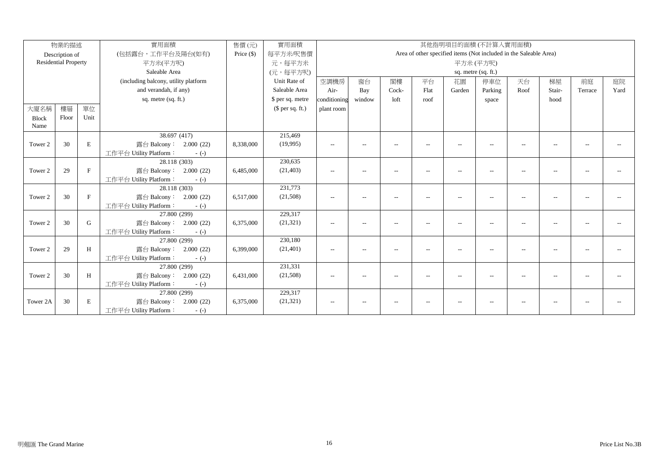|              | 物業的描述                       |              | 實用面積                                 | 售價(元)        | 實用面積             | 其他指明項目的面積(不計算入實用面積)                                               |                          |                          |                |        |                          |                          |                          |         |      |
|--------------|-----------------------------|--------------|--------------------------------------|--------------|------------------|-------------------------------------------------------------------|--------------------------|--------------------------|----------------|--------|--------------------------|--------------------------|--------------------------|---------|------|
|              | Description of              |              | (包括露台,工作平台及陽台(如有)                    | Price $(\$)$ | 每平方米/呎售價         | Area of other specified items (Not included in the Saleable Area) |                          |                          |                |        |                          |                          |                          |         |      |
|              | <b>Residential Property</b> |              | 平方米(平方呎)                             |              | 元,每平方米           | 平方米(平方呎)                                                          |                          |                          |                |        |                          |                          |                          |         |      |
|              |                             |              | Saleable Area                        |              | (元,每平方呎)         | sq. metre (sq. ft.)                                               |                          |                          |                |        |                          |                          |                          |         |      |
|              |                             |              | (including balcony, utility platform |              | Unit Rate of     | 空調機房                                                              | 窗台                       | 閣樓                       | 平台             | 花園     | 停車位                      | 天台                       | 梯屋                       | 前庭      | 庭院   |
|              |                             |              | and verandah, if any)                |              | Saleable Area    | Air-                                                              | Bay                      | Cock-                    | Flat           | Garden | Parking                  | Roof                     | Stair-                   | Terrace | Yard |
|              |                             |              | sq. metre (sq. ft.)                  |              | \$ per sq. metre | conditioning                                                      | window                   | loft                     | roof           |        | space                    |                          | hood                     |         |      |
| 大廈名稱         | 樓層                          | 單位           |                                      |              | (\$ per sq. ft.) | plant room                                                        |                          |                          |                |        |                          |                          |                          |         |      |
| <b>Block</b> | Floor                       | Unit         |                                      |              |                  |                                                                   |                          |                          |                |        |                          |                          |                          |         |      |
| Name         |                             |              |                                      |              |                  |                                                                   |                          |                          |                |        |                          |                          |                          |         |      |
|              |                             |              | 38.697 (417)                         |              | 215,469          |                                                                   |                          |                          |                |        |                          |                          |                          |         |      |
| Tower 2      | 30                          | E            | 露台 Balcony: 2.000 (22)               | 8,338,000    | (19,995)         | $-$                                                               | $\sim$                   | $\sim$                   |                | $-$    |                          | ۰.                       |                          |         |      |
|              |                             |              | 工作平台 Utility Platform:<br>$-(-)$     |              |                  |                                                                   |                          |                          |                |        |                          |                          |                          |         |      |
|              |                             |              | 28.118 (303)                         |              | 230,635          |                                                                   |                          |                          |                |        |                          |                          |                          |         |      |
| Tower 2      | 29                          | $\mathbf{F}$ | 露台 Balcony: 2.000 (22)               | 6,485,000    | (21, 403)        | $\sim$                                                            | $\overline{\phantom{a}}$ | $\overline{\phantom{a}}$ | $\overline{a}$ | $-$    |                          | $\sim$                   |                          |         |      |
|              |                             |              | 工作平台 Utility Platform:<br>$-(-)$     |              |                  |                                                                   |                          |                          |                |        |                          |                          |                          |         |      |
|              |                             |              | 28.118 (303)                         |              | 231,773          |                                                                   |                          |                          |                |        |                          |                          |                          |         |      |
| Tower 2      | 30                          | F            | 露台 Balcony: 2.000 (22)               | 6,517,000    | (21,508)         | $- -$                                                             | $\overline{\phantom{a}}$ | $\sim$                   | $\overline{a}$ | $-$    | $\overline{\phantom{a}}$ | $\overline{\phantom{a}}$ | $\overline{\phantom{a}}$ |         |      |
|              |                             |              | 工作平台 Utility Platform:<br>$-(-)$     |              |                  |                                                                   |                          |                          |                |        |                          |                          |                          |         |      |
|              |                             |              | 27.800 (299)                         |              | 229,317          |                                                                   |                          |                          |                |        |                          |                          |                          |         |      |
| Tower 2      | 30                          | G            | 露台 Balcony: 2.000 (22)               | 6,375,000    | (21, 321)        | $--$                                                              | $\sim$                   | $\overline{a}$           | $\overline{a}$ | --     | $\overline{a}$           | $-$                      |                          |         |      |
|              |                             |              | 工作平台 Utility Platform:<br>$-(-)$     |              |                  |                                                                   |                          |                          |                |        |                          |                          |                          |         |      |
|              |                             |              | 27.800 (299)                         |              | 230,180          |                                                                   |                          |                          |                |        |                          |                          |                          |         |      |
| Tower 2      | 29                          | H            | 露台 Balcony: 2.000 (22)               | 6,399,000    | (21, 401)        | $\sim$                                                            | $\overline{\phantom{a}}$ | --                       | $\overline{a}$ | --     |                          | ۰.                       |                          |         |      |
|              |                             |              | 工作平台 Utility Platform:<br>$-(-)$     |              |                  |                                                                   |                          |                          |                |        |                          |                          |                          |         |      |
|              |                             |              | 27.800 (299)                         |              | 231,331          |                                                                   |                          |                          |                |        |                          |                          |                          |         |      |
| Tower 2      | 30                          | H            | 露台 Balcony:<br>2.000(22)             | 6,431,000    | (21,508)         | $- -$                                                             |                          |                          |                |        |                          |                          |                          |         |      |
|              |                             |              | 工作平台 Utility Platform:<br>$-(-)$     |              |                  |                                                                   |                          |                          |                |        |                          |                          |                          |         |      |
|              |                             |              | 27.800 (299)                         |              | 229,317          |                                                                   |                          |                          |                |        |                          |                          |                          |         |      |
| Tower 2A     | 30                          | Е            | 露台 Balcony:<br>2.000(22)             | 6,375,000    | (21, 321)        | $--$                                                              | $-$                      | $\overline{\phantom{a}}$ |                |        |                          |                          |                          |         |      |
|              |                             |              | 工作平台 Utility Platform:<br>$-(-)$     |              |                  |                                                                   |                          |                          |                |        |                          |                          |                          |         |      |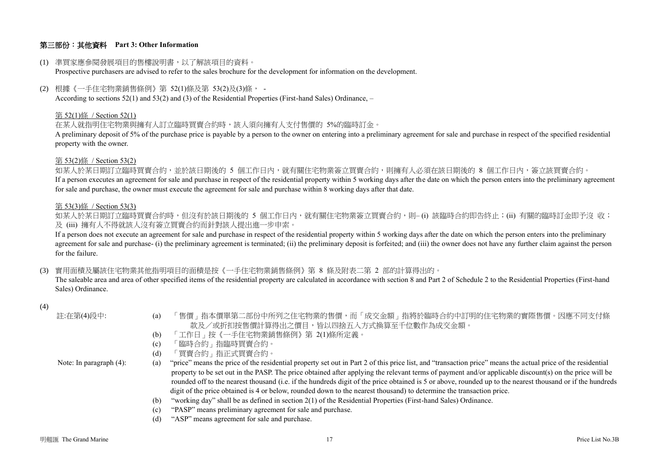## 第三部份:其他資料 **Part 3: Other Information**

(1) 準買家應參閱發展項目的售樓說明書,以了解該項目的資料。

Prospective purchasers are advised to refer to the sales brochure for the development for information on the development.

(2) 根據《一手住宅物業銷售條例》第 52(1)條及第 53(2)及(3)條, -

According to sections 52(1) and 53(2) and (3) of the Residential Properties (First-hand Sales) Ordinance, –

#### 第 52(1)條 / Section 52(1)

在某人就指明住宅物業與擁有人訂立臨時買賣合約時,該人須向擁有人支付售價的 5%的臨時訂金。

A preliminary deposit of 5% of the purchase price is payable by a person to the owner on entering into a preliminary agreement for sale and purchase in respect of the specified residential property with the owner.

#### 第 53(2)條 / Section 53(2)

如某人於某日期訂立臨時買賣合約,並於該日期後的 5 個工作日內,就有關住宅物業簽立買賣合約,則擁有人必須在該日期後的 8 個工作日內,簽立該買賣合約。 If a person executes an agreement for sale and purchase in respect of the residential property within 5 working days after the date on which the person enters into the preliminary agreement for sale and purchase, the owner must execute the agreement for sale and purchase within 8 working days after that date.

#### 第 53(3)條 / Section 53(3)

如某人於某日期訂立臨時買賣合約時,但沒有於該日期後的 5 個工作日內,就有關住宅物業簽立買賣合約,則– (i) 該臨時合約即告終止;(ii) 有關的臨時訂金即予沒 收; 及 (iii) 擁有人不得就該人沒有簽立買賣合約而針對該人提出進一步申索。

If a person does not execute an agreement for sale and purchase in respect of the residential property within 5 working days after the date on which the person enters into the preliminary agreement for sale and purchase- (i) the preliminary agreement is terminated; (ii) the preliminary deposit is forfeited; and (iii) the owner does not have any further claim against the person for the failure.

(3) 實用面積及屬該住宅物業其他指明項目的面積是按《一手住宅物業銷售條例》第 8 條及附表二第 2 部的計算得出的。

The saleable area and area of other specified items of the residential property are calculated in accordance with section 8 and Part 2 of Schedule 2 to the Residential Properties (First-hand Sales) Ordinance.

### (4)

| 註:在第(4)段中:                 | 「售價」指本價單第二部份中所列之住宅物業的售價,而「成交金額」指將於臨時合約中訂明的住宅物業的實際售價。因應不同支付條<br>$\left( a\right)$<br>款及/或折扣按售價計算得出之價目,皆以四捨五入方式換算至千位數作為成交金額。                                         |
|----------------------------|--------------------------------------------------------------------------------------------------------------------------------------------------------------------|
|                            | 「工作日」按《一手住宅物業銷售條例》第 2(1)條所定義。<br>(b)                                                                                                                               |
|                            | 「臨時合約」指臨時買賣合約。<br>(c)                                                                                                                                              |
|                            | 「買賣合約」指正式買賣合約。<br>(d)                                                                                                                                              |
| Note: In paragraph $(4)$ : | "price" means the price of the residential property set out in Part 2 of this price list, and "transaction price" means the actual price of the residential<br>(a) |
|                            | property to be set out in the PASP. The price obtained after applying the relevant terms of payment and/or applicable discount(s) on the price will be             |
|                            | rounded off to the nearest thousand (i.e. if the hundreds digit of the price obtained is 5 or above, rounded up to the nearest thousand or if the hundreds         |
|                            | digit of the price obtained is 4 or below, rounded down to the nearest thousand) to determine the transaction price.                                               |
|                            | "working day" shall be as defined in section 2(1) of the Residential Properties (First-hand Sales) Ordinance.<br>(b)                                               |
|                            | "PASP" means preliminary agreement for sale and purchase.<br>(c)                                                                                                   |
|                            | "ASP" means agreement for sale and purchase.<br>(d)                                                                                                                |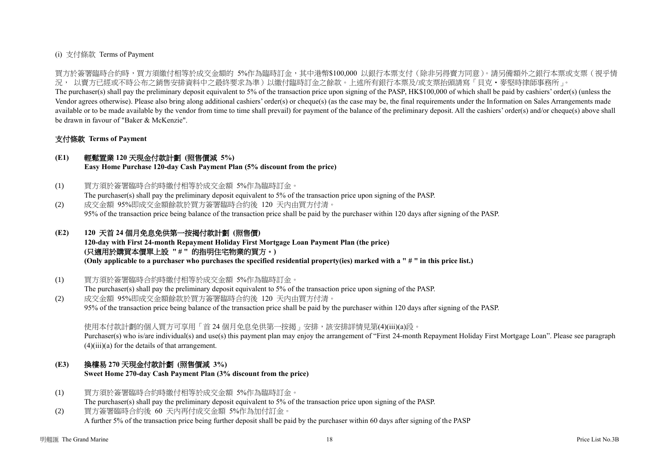### (i) 支付條款 Terms of Payment

買方於簽署臨時合約時,買方須繳付相等於成交金額的 5%作為臨時訂金,其中港幣\$100,000 以銀行本票支付(除非另得賣方同意)。請另備額外之銀行本票或支票(視乎情 況, 以賣方已經或不時公布之銷售安排資料中之最終要求為準)以繳付臨時訂金之餘款。上述所有銀行本票及/或支票抬頭請寫「貝克‧麥堅時律師事務所」。

The purchaser(s) shall pay the preliminary deposit equivalent to 5% of the transaction price upon signing of the PASP, HK\$100,000 of which shall be paid by cashiers' order(s) (unless the Vendor agrees otherwise). Please also bring along additional cashiers' order(s) or cheque(s) (as the case may be, the final requirements under the Information on Sales Arrangements made available or to be made available by the vendor from time to time shall prevail) for payment of the balance of the preliminary deposit. All the cashiers' order(s) and/or cheque(s) above shall be drawn in favour of "Baker & McKenzie".

### 支付條款 **Terms of Payment**

### **(E1)** 輕鬆置業 **120** 天現金付款計劃 **(**照售價減 **5%)**

**Easy Home Purchase 120-day Cash Payment Plan (5% discount from the price)**

- (1) 買方須於簽署臨時合約時繳付相等於成交金額 5%作為臨時訂金。 The purchaser(s) shall pay the preliminary deposit equivalent to 5% of the transaction price upon signing of the PASP.
- (2) 成交金額 95%即成交金額餘款於買方簽署臨時合約後 120 天內由買方付清。 95% of the transaction price being balance of the transaction price shall be paid by the purchaser within 120 days after signing of the PASP.

# **(E2) 120** 天首 **24** 個月免息免供第一按揭付款計劃 **(**照售價**)**

**120-day with First 24-month Repayment Holiday First Mortgage Loan Payment Plan (the price) (**只適用於購買本價單上設 **" # "** 的指明住宅物業的買方。**) (Only applicable to a purchaser who purchases the specified residential property(ies) marked with a " # " in this price list.)**

(1) 買方須於簽署臨時合約時繳付相等於成交金額 5%作為臨時訂金。

The purchaser(s) shall pay the preliminary deposit equivalent to 5% of the transaction price upon signing of the PASP. (2) 成交金額 95%即成交金額餘款於買方簽署臨時合約後 120 天內由買方付清。

95% of the transaction price being balance of the transaction price shall be paid by the purchaser within 120 days after signing of the PASP.

使用本付款計劃的個人買方可享用「首 24 個月免息免供第一按揭 」安排, 該安排詳情見第(4)(iii)(a)段。

Purchaser(s) who is/are individual(s) and use(s) this payment plan may enjoy the arrangement of "First 24-month Repayment Holiday First Mortgage Loan". Please see paragraph  $(4)(iii)(a)$  for the details of that arrangement.

# **(E3)** 換樓易 **270** 天現金付款計劃 **(**照售價減 **3%)**

**Sweet Home 270-day Cash Payment Plan (3% discount from the price)**

- (1) 買方須於簽署臨時合約時繳付相等於成交金額 5%作為臨時訂金。 The purchaser(s) shall pay the preliminary deposit equivalent to 5% of the transaction price upon signing of the PASP.
- (2) 買方簽署臨時合約後 60 天內再付成交金額 5%作為加付訂金。 A further 5% of the transaction price being further deposit shall be paid by the purchaser within 60 days after signing of the PASP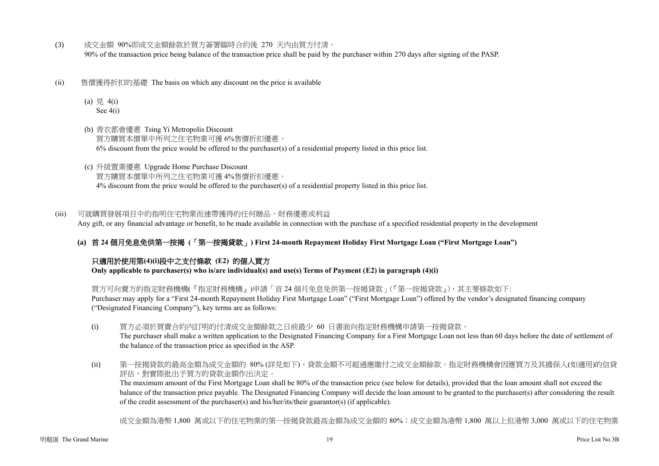- (3) 成交金額 90%即成交金額餘款於買方簽署臨時合約後 270 天內由買方付清。 90% of the transaction price being balance of the transaction price shall be paid by the purchaser within 270 days after signing of the PASP.
- (ii) 售價獲得折扣的基礎 The basis on which any discount on the price is available
	- (a)  $\frac{1}{7}$  4(i) See 4(i)
	- (b) 青衣都會優惠 Tsing Yi Metropolis Discount 買方購買本價單中所列之住宅物業可獲 6%售價折扣優惠。  $6\%$  discount from the price would be offered to the purchaser(s) of a residential property listed in this price list.
	- (c) 升級置業優惠 Upgrade Home Purchase Discount 買方購買本價單中所列之住宅物業可獲 4%售價折扣優惠。 4% discount from the price would be offered to the purchaser(s) of a residential property listed in this price list.

(iii) 可就購買發展項目中的指明住宅物業而連帶獲得的任何贈品、財務優惠或利益 Any gift, or any financial advantage or benefit, to be made available in connection with the purchase of a specified residential property in the development

**(a)** 首 **24** 個月免息免供第一按揭 **(**「第一按揭貸款」**) First 24-month Repayment Holiday First Mortgage Loan ("First Mortgage Loan")**

# 只適用於使用第**(4)(i)**段中之支付條款 **(E2)** 的個人買方

**Only applicable to purchaser(s) who is/are individual(s) and use(s) Terms of Payment (E2) in paragraph (4)(i)** 

買方可向賣方的指定財務機構(『指定財務機構』)申請「首 24 個月免息免供第一按揭貸款」(『第一按揭貸款』),其主要條款如下: Purchaser may apply for a "First 24-month Repayment Holiday First Mortgage Loan" ("First Mortgage Loan") offered by the vendor's designated financing company ("Designated Financing Company"), key terms are as follows:

- (i) 買方必須於買賣合約內訂明的付清成交金額餘款之日前最少 60 日書面向指定財務機構申請第一按揭貸款。 The purchaser shall make a written application to the Designated Financing Company for a First Mortgage Loan not less than 60 days before the date of settlement of the balance of the transaction price as specified in the ASP.
- (ii) 第一按揭貸款的最高金額為成交金額的 80% (詳見如下),貸款金額不可超過應繳付之成交金額餘款。指定財務機構會因應買方及其擔保人(如適用)的信貸 評估,對實際批出予買方的貸款金額作出決定。

The maximum amount of the First Mortgage Loan shall be 80% of the transaction price (see below for details), provided that the loan amount shall not exceed the balance of the transaction price payable. The Designated Financing Company will decide the loan amount to be granted to the purchaser(s) after considering the result of the credit assessment of the purchaser(s) and his/her/its/their guarantor(s) (if applicable).

成交金額為港幣 1,800 萬或以下的住宅物業的第一按揭貸款最高金額為成交金額的 80%;成交金額為港幣 1,800 萬以上但港幣 3,000 萬或以下的住宅物業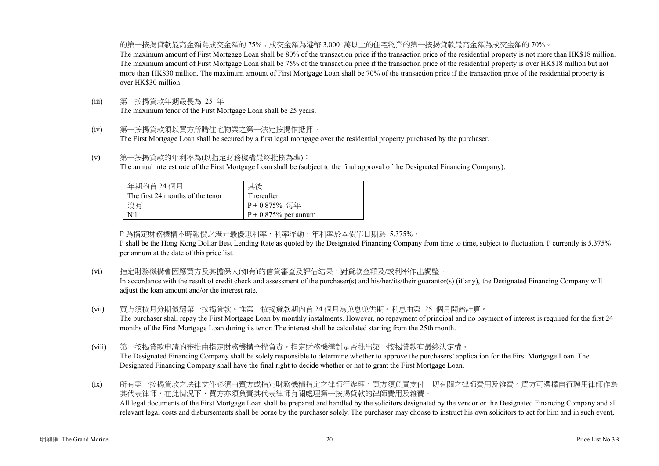的第一按揭貸款最高金額為成交金額的 75%;成交金額為港幣 3,000 萬以上的住宅物業的第一按揭貸款最高金額為成交金額的 70%。 The maximum amount of First Mortgage Loan shall be 80% of the transaction price if the transaction price of the residential property is not more than HK\$18 million. The maximum amount of First Mortgage Loan shall be 75% of the transaction price if the transaction price of the residential property is over HK\$18 million but not more than HK\$30 million. The maximum amount of First Mortgage Loan shall be 70% of the transaction price if the transaction price of the residential property is over HK\$30 million.

- (iii) 第一按揭貸款年期最長為 25 年。 The maximum tenor of the First Mortgage Loan shall be 25 years.
- (iv) 第一按揭貸款須以買方所購住宅物業之第一法定按揭作抵押。 The First Mortgage Loan shall be secured by a first legal mortgage over the residential property purchased by the purchaser.
- (v) 第一按揭貸款的年利率為(以指定財務機構最終批核為準): The annual interest rate of the First Mortgage Loan shall be (subject to the final approval of the Designated Financing Company):

| 年期的首 24 個月                       | 其後                      |
|----------------------------------|-------------------------|
| The first 24 months of the tenor | Thereafter              |
| 沒有                               | P + 0.875% 每年           |
| Nil                              | $P + 0.875\%$ per annum |

P 為指定財務機構不時報價之港元最優惠利率,利率浮動,年利率於本價單日期為 5.375%。

P shall be the Hong Kong Dollar Best Lending Rate as quoted by the Designated Financing Company from time to time, subject to fluctuation. P currently is 5.375% per annum at the date of this price list.

(vi) 指定財務機構會因應買方及其擔保人(如有)的信貸審查及評估結果,對貸款金額及/或利率作出調整。

In accordance with the result of credit check and assessment of the purchaser(s) and his/her/its/their guarantor(s) (if any), the Designated Financing Company will adjust the loan amount and/or the interest rate.

- (vii) 買方須按月分期償還第一按揭貸款。惟第一按揭貸款期內首 24 個月為免息免供期。利息由第 25 個月開始計算。 The purchaser shall repay the First Mortgage Loan by monthly instalments. However, no repayment of principal and no payment of interest is required for the first 24 months of the First Mortgage Loan during its tenor. The interest shall be calculated starting from the 25th month.
- (viii) 第一按揭貸款申請的審批由指定財務機構全權負責。指定財務機構對是否批出第一按揭貸款有最終決定權。 The Designated Financing Company shall be solely responsible to determine whether to approve the purchasers' application for the First Mortgage Loan. The Designated Financing Company shall have the final right to decide whether or not to grant the First Mortgage Loan.

(ix) 所有第一按揭貸款之法律文件必須由賣方或指定財務機構指定之律師行辦理,買方須負責支付一切有關之律師費用及雜費。買方可選擇自行聘用律師作為 其代表律師,在此情況下,買方亦須負責其代表律師有關處理第一按揭貸款的律師費用及雜費。 All legal documents of the First Mortgage Loan shall be prepared and handled by the solicitors designated by the vendor or the Designated Financing Company and all relevant legal costs and disbursements shall be borne by the purchaser solely. The purchaser may choose to instruct his own solicitors to act for him and in such event,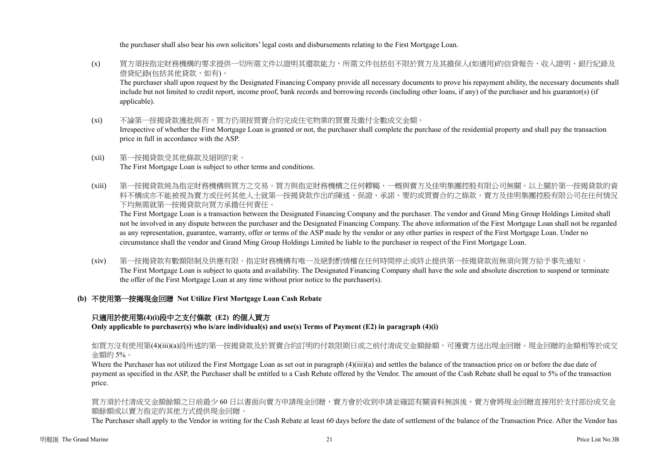the purchaser shall also bear his own solicitors' legal costs and disbursements relating to the First Mortgage Loan.

- (x) 買方須按指定財務機構的要求提供一切所需文件以證明其還款能力,所需文件包括但不限於買方及其擔保人(如適用)的信貸報告、收入證明、銀行紀錄及 借貸紀錄(包括其他貸款,如有)。 The purchaser shall upon request by the Designated Financing Company provide all necessary documents to prove his repayment ability, the necessary documents shall include but not limited to credit report, income proof, bank records and borrowing records (including other loans, if any) of the purchaser and his guarantor(s) (if applicable).
- (xi) 不論第一按揭貸款獲批與否,買方仍須按買賣合約完成住宅物業的買賣及繳付全數成交金額。 Irrespective of whether the First Mortgage Loan is granted or not, the purchaser shall complete the purchase of the residential property and shall pay the transaction price in full in accordance with the ASP.
- (xii) 第一按揭貸款受其他條款及細則約束。 The First Mortgage Loan is subject to other terms and conditions.
- (xiii) 第一按揭貸款純為指定財務機構與買方之交易。買方與指定財務機構之任何轇輵,一概與賣方及佳明集團控股有限公司無關。以上關於第一按揭貸款的資 料不構成亦不能被視為賣方或任何其他人士就第一按揭貸款作出的陳述、保證、承諾、要約或買賣合約之條款。賣方及佳明集團控股有限公司在任何情況 下均無需就第一按揭貸款向買方承擔任何責任。

The First Mortgage Loan is a transaction between the Designated Financing Company and the purchaser. The vendor and Grand Ming Group Holdings Limited shall not be involved in any dispute between the purchaser and the Designated Financing Company. The above information of the First Mortgage Loan shall not be regarded as any representation, guarantee, warranty, offer or terms of the ASP made by the vendor or any other parties in respect of the First Mortgage Loan. Under no circumstance shall the vendor and Grand Ming Group Holdings Limited be liable to the purchaser in respect of the First Mortgage Loan.

- (xiv) 第一按揭貸款有數額限制及供應有限。指定財務機構有唯一及絕對酌情權在任何時間停止或終止提供第一按揭貸款而無須向買方給予事先通知。 The First Mortgage Loan is subject to quota and availability. The Designated Financing Company shall have the sole and absolute discretion to suspend or terminate the offer of the First Mortgage Loan at any time without prior notice to the purchaser(s).
- **(b)** 不使用第一按揭現金回贈 **Not Utilize First Mortgage Loan Cash Rebate**

# 只適用於使用第**(4)(i)**段中之支付條款 **(E2)** 的個人買方

**Only applicable to purchaser(s) who is/are individual(s) and use(s) Terms of Payment (E2) in paragraph (4)(i)**

如買方沒有使用第(4)(iii)(a)段所述的第一按揭貸款及於買賣合約訂明的付款限期日或之前付清成交金額餘額,可獲賣方送出現金回贈。現金回贈的金額相等於成交 金額的 5%。

Where the Purchaser has not utilized the First Mortgage Loan as set out in paragraph (4)(iii)(a) and settles the balance of the transaction price on or before the due date of payment as specified in the ASP, the Purchaser shall be entitled to a Cash Rebate offered by the Vendor. The amount of the Cash Rebate shall be equal to 5% of the transaction price.

買方須於付清成交金額餘額之日前最少 60 日以書面向賣方申請現金回贈,賣方會於收到申請並確認有關資料無誤後,賣方會將現金回贈直接用於支付部份成交金 額餘額或以賣方指定的其他方式提供現金回贈。

The Purchaser shall apply to the Vendor in writing for the Cash Rebate at least 60 days before the date of settlement of the balance of the Transaction Price. After the Vendor has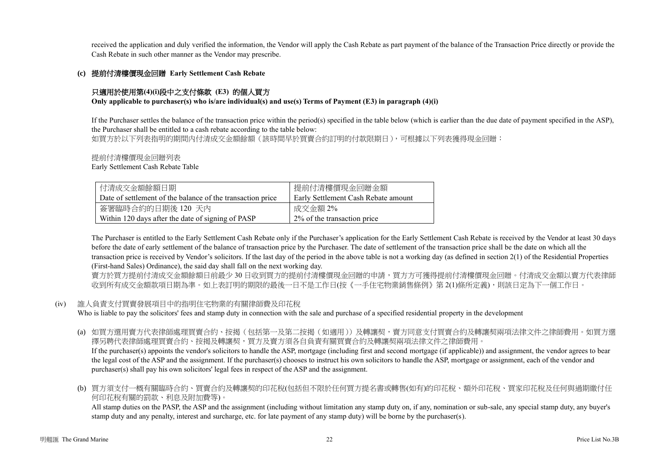received the application and duly verified the information, the Vendor will apply the Cash Rebate as part payment of the balance of the Transaction Price directly or provide the Cash Rebate in such other manner as the Vendor may prescribe.

### **(c)** 提前付清樓價現金回贈 **Early Settlement Cash Rebate**

## 只適用於使用第**(4)(i)**段中之支付條款 **(E3)** 的個人買方

**Only applicable to purchaser(s) who is/are individual(s) and use(s) Terms of Payment (E3) in paragraph (4)(i)**

If the Purchaser settles the balance of the transaction price within the period(s) specified in the table below (which is earlier than the due date of payment specified in the ASP), the Purchaser shall be entitled to a cash rebate according to the table below:

如買方於以下列表指明的期間内付清成交金額餘額(該時間早於買賣合約訂明的付款限期日),可根據以下列表獲得現金回贈:

提前付清樓價現金回贈列表

Early Settlement Cash Rebate Table

| 付清成交金額餘額日期                                                 | 提前付清樓價現金回贈金額                        |
|------------------------------------------------------------|-------------------------------------|
| Date of settlement of the balance of the transaction price | Early Settlement Cash Rebate amount |
| 簽署臨時合約的日期後 120 天內                                          | 成交金額 2%                             |
| Within 120 days after the date of signing of PASP          | 2\% of the transaction price        |

The Purchaser is entitled to the Early Settlement Cash Rebate only if the Purchaser's application for the Early Settlement Cash Rebate is received by the Vendor at least 30 days before the date of early settlement of the balance of transaction price by the Purchaser. The date of settlement of the transaction price shall be the date on which all the transaction price is received by Vendor's solicitors. If the last day of the period in the above table is not a working day (as defined in section 2(1) of the Residential Properties (First-hand Sales) Ordinance), the said day shall fall on the next working day.

賣方於買方提前付清成交金額餘額日前最少 30 日收到買方的提前付清樓價現金回贈的申請,買方方可獲得提前付清樓價現金回贈。付清成交金額以賣方代表律師 收到所有成交金額款項日期為準。如上表訂明的期限的最後一日不是工作日(按《一手住宅物業銷售條例》第 2(1)條所定義),則該日定為下一個工作日。

### (iv) 誰人負責支付買賣發展項目中的指明住宅物業的有關律師費及印花稅

Who is liable to pay the solicitors' fees and stamp duty in connection with the sale and purchase of a specified residential property in the development

- (a) 如買方選用賣方代表律師處理買賣合約、按揭(包括第一及第二按揭(如適用))及轉讓契,賣方同意支付買賣合約及轉讓契兩項法律文件之律師費用。如買方選 擇另聘代表律師處理買賣合約、按揭及轉讓契,買方及賣方須各自負責有關買賣合約及轉讓契兩項法律文件之律師費用。 If the purchaser(s) appoints the vendor's solicitors to handle the ASP, mortgage (including first and second mortgage (if applicable)) and assignment, the vendor agrees to bear the legal cost of the ASP and the assignment. If the purchaser(s) chooses to instruct his own solicitors to handle the ASP, mortgage or assignment, each of the vendor and purchaser(s) shall pay his own solicitors' legal fees in respect of the ASP and the assignment.
- (b) 買方須支付一概有關臨時合約、買賣合約及轉讓契的印花稅(包括但不限於任何買方提名書或轉售(如有)的印花稅、額外印花稅、買家印花稅及任何與過期繳付任 何印花稅有關的罰款、利息及附加費等)。

All stamp duties on the PASP, the ASP and the assignment (including without limitation any stamp duty on, if any, nomination or sub-sale, any special stamp duty, any buyer's stamp duty and any penalty, interest and surcharge, etc. for late payment of any stamp duty) will be borne by the purchaser(s).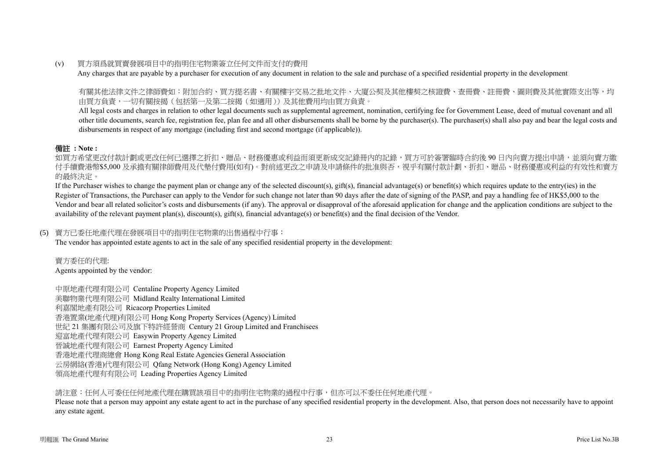(v) 買方須爲就買賣發展項目中的指明住宅物業簽立任何文件而支付的費用

Any charges that are payable by a purchaser for execution of any document in relation to the sale and purchase of a specified residential property in the development

有關其他法律文件之律師費如:附加合約、買方提名書、有關樓宇交易之批地文件、大廈公契及其他樓契之核證費、查冊費、註冊費、圖則費及其他實際支出等,均 由買方負責,一切有關按揭(包括第一及第二按揭(如適用))及其他費用均由買方負責。

All legal costs and charges in relation to other legal documents such as supplemental agreement, nomination, certifying fee for Government Lease, deed of mutual covenant and all other title documents, search fee, registration fee, plan fee and all other disbursements shall be borne by the purchaser(s). The purchaser(s) shall also pay and bear the legal costs and disbursements in respect of any mortgage (including first and second mortgage (if applicable)).

# 備註 **: Note :**

如買方希望更改付款計劃或更改任何已選擇之折扣、贈品、財務優惠或利益而須更新成交記錄冊內的記錄,買方可於簽署臨時合約後 90 日内向賣方提出申請,並須向賣方繳 付手續費港幣\$5,000 及承擔有關律師費用及代墊付費用(如有)。對前述更改之申請及申請條件的批准與否,視乎有關付款計劃、折扣、贈品、財務優惠或利益的有效性和賣方 的最終決定。

If the Purchaser wishes to change the payment plan or change any of the selected discount(s), gift(s), financial advantage(s) or benefit(s) which requires update to the entry(ies) in the Register of Transactions, the Purchaser can apply to the Vendor for such change not later than 90 days after the date of signing of the PASP, and pay a handling fee of HK\$5,000 to the Vendor and bear all related solicitor's costs and disbursements (if any). The approval or disapproval of the aforesaid application for change and the application conditions are subject to the availability of the relevant payment plan(s), discount(s), gift(s), financial advantage(s) or benefit(s) and the final decision of the Vendor.

# (5) 賣方已委任地產代理在發展項目中的指明住宅物業的出售過程中行事:

The vendor has appointed estate agents to act in the sale of any specified residential property in the development:

賣方委任的代理: Agents appointed by the vendor:

中原地產代理有限公司 Centaline Property Agency Limited 美聯物業代理有限公司 Midland Realty International Limited 利嘉閣地產有限公司 Ricacorp Properties Limited 香港置業(地產代理)有限公司 Hong Kong Property Services (Agency) Limited 世紀 21 集團有限公司及旗下特許經營商 Century 21 Group Limited and Franchisees 迎富地產代理有限公司 Easywin Property Agency Limited 晉誠地產代理有限公司 Earnest Property Agency Limited 香港地產代理商總會 Hong Kong Real Estate Agencies General Association 云房網絡(香港)代理有限公司 Qfang Network (Hong Kong) Agency Limited 領高地產代理有有限公司 Leading Properties Agency Limited

請注意:任何人可委任任何地產代理在購買該項目中的指明住宅物業的過程中行事,但亦可以不委任任何地產代理。

Please note that a person may appoint any estate agent to act in the purchase of any specified residential property in the development. Also, that person does not necessarily have to appoint any estate agent.